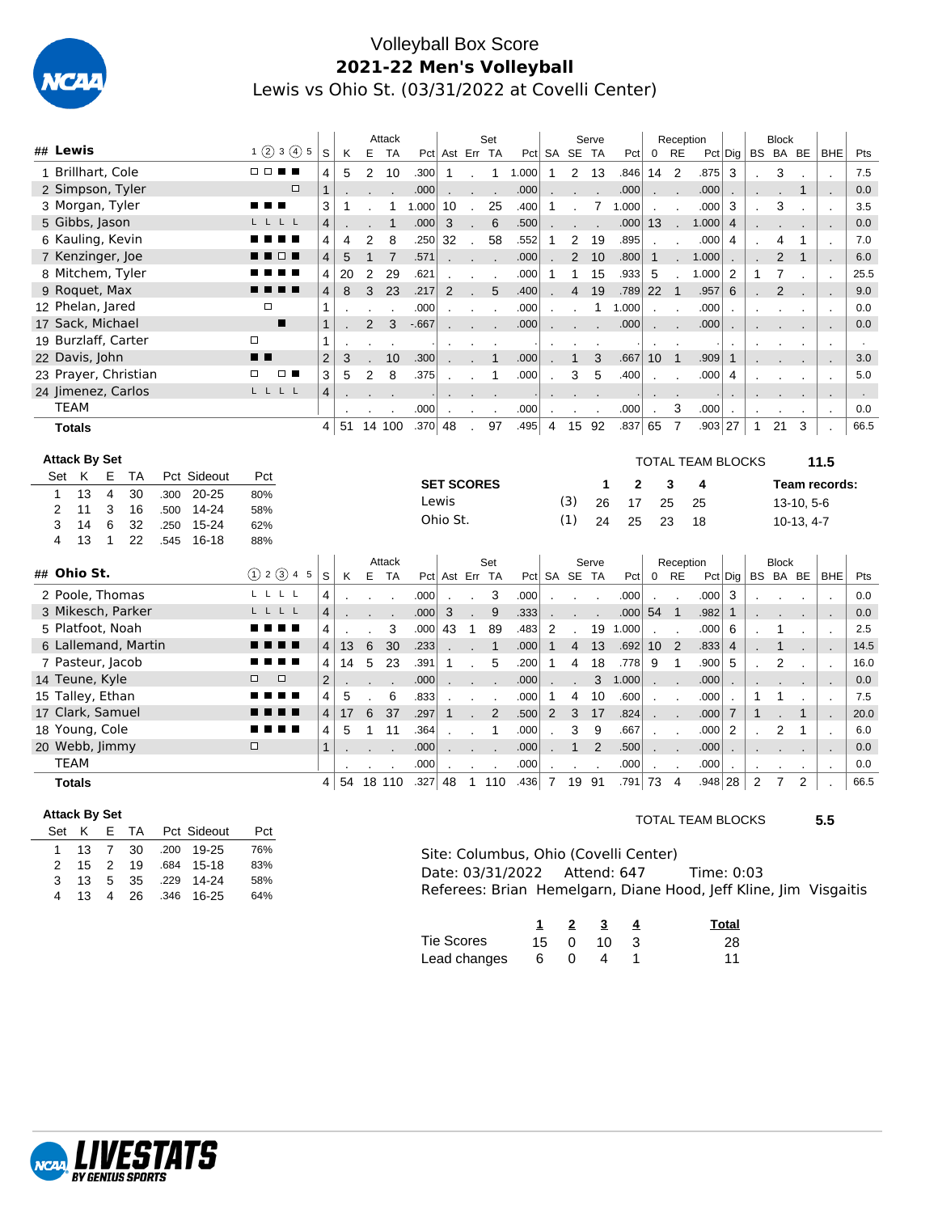

## Volleyball Box Score **2021-22 Men's Volleyball** Lewis vs Ohio St. (03/31/2022 at Covelli Center)

| ## Lewis                                  |          |              |                    |             | 1(2)3(4)5      | S                       | Κ              | E              | Attack<br><b>TA</b> |         | Pct Ast Err TA           |                          | Set                      |                  |                | Pct SA SE TA            | Serve          | Pct                                                  | 0               | Reception<br><b>RE</b>     |                          | Pct Dig                       |                | <b>Block</b><br>BS BA BE |                          | <b>BHE</b>                 | Pts                   |
|-------------------------------------------|----------|--------------|--------------------|-------------|----------------|-------------------------|----------------|----------------|---------------------|---------|--------------------------|--------------------------|--------------------------|------------------|----------------|-------------------------|----------------|------------------------------------------------------|-----------------|----------------------------|--------------------------|-------------------------------|----------------|--------------------------|--------------------------|----------------------------|-----------------------|
| 1 Brillhart, Cole                         |          |              |                    | <b>DDSS</b> |                | 4                       | 5              |                | 10                  | .300    |                          |                          |                          | 1.000            | $\mathbf{1}$   |                         |                | .846                                                 | 14              | $\overline{2}$             | .875                     | 3                             |                |                          |                          |                            | 7.5                   |
| 2 Simpson, Tyler                          |          |              |                    |             | $\Box$         | $\mathbf{1}$            |                | 2              |                     | .000    | $\mathbf{1}$             | $\cdot$                  | 1                        | .000             |                | 2                       | -13            | .000                                                 |                 |                            | .000                     |                               |                | 3                        | 1                        | $\overline{a}$             | 0.0                   |
| 3 Morgan, Tyler                           |          |              |                    |             | п              | 3                       | $\mathbf{1}$   |                | $\mathbf{1}$        | 1.000   | 10                       | $\mathcal{L}$            | 25                       | .400             | $\mathbf{1}$   |                         | 7              | 1.000                                                | $\overline{a}$  |                            | .000                     | 3                             | $\overline{a}$ | 3                        |                          |                            | 3.5                   |
| 5 Gibbs, Jason                            |          |              |                    | LLLL        |                | 4                       |                |                | $\mathbf{1}$        | .000    | 3                        |                          | 6                        | .500             |                |                         |                | .000                                                 | 13              |                            | 1.000                    | $\overline{4}$                |                |                          |                          | $\mathcal{L}$              | 0.0                   |
| 6 Kauling, Kevin                          |          |              |                    |             |                | 4                       | $\overline{4}$ | 2              | 8                   | .250    | 32                       |                          | 58                       | .552             | $\mathbf{1}$   | $\overline{\mathbf{c}}$ | 19             | .895                                                 |                 | $\blacksquare$ .           | .000                     | 4                             |                | 4                        | 1                        | $\overline{\phantom{a}}$   | 7.0                   |
| 7 Kenzinger, Joe                          |          |              |                    |             | $\Box$         | $\overline{\mathbf{4}}$ | 5              | $\mathbf{1}$   | $\overline{7}$      | .571    |                          | $\overline{a}$           |                          | .000             |                | 2                       | 10             | .800                                                 | $\mathbf{1}$    |                            | 1.000                    |                               |                | $\overline{2}$           | $\mathbf{1}$             | $\cdot$                    | 6.0                   |
| 8 Mitchem, Tyler                          |          |              |                    |             |                |                         | 20             | 2              | 29                  | .621    |                          | $\sim$                   | $\overline{\phantom{a}}$ | .000             | $\mathbf{1}$   | 1                       | 15             | .933                                                 | 5               | $\overline{\phantom{a}}$   | 1.000                    | $\overline{\phantom{a}}$<br>2 | 1              | $\overline{7}$           |                          | $\mathcal{L}_{\mathbf{z}}$ | 25.5                  |
| 9 Roquet, Max                             |          |              |                    | . .         |                | 4<br>4                  | 8              | 3              | 23                  | .217    | $\overline{2}$           | $\overline{\phantom{a}}$ | 5                        | .400             |                | $\overline{4}$          | 19             | .789                                                 | 22              | $\overline{1}$             | .957                     | 6                             |                | $\overline{2}$           |                          | $\overline{a}$             | 9.0                   |
| 12 Phelan, Jared                          |          |              |                    | □           |                | 1                       |                |                |                     | .000    |                          |                          |                          | .000             |                |                         | $\mathbf{1}$   | 1.000                                                |                 |                            | .000                     |                               |                |                          |                          | ٠.                         | 0.0                   |
| 17 Sack, Michael                          |          |              |                    |             | $\blacksquare$ | $\mathbf{1}$            |                | 2              | 3                   | $-667$  | $\overline{\phantom{a}}$ | $\overline{a}$           |                          | .000             |                |                         |                | .000                                                 | $\overline{a}$  |                            | .000                     | $\overline{a}$                |                |                          |                          | $\cdot$                    | 0.0                   |
| 19 Burzlaff, Carter                       |          |              |                    | $\Box$      |                | 1                       |                |                |                     |         |                          |                          |                          |                  |                |                         |                |                                                      |                 |                            |                          |                               |                |                          |                          |                            |                       |
| 22 Davis, John                            |          |              |                    | ▪▪          |                | $\overline{2}$          | 3              |                | 10                  | .300    |                          | ÷.                       | $\mathbf{1}$             | .000             |                | $\mathbf{1}$            | 3              | .667                                                 | 10              | $\overline{1}$             | .909                     | $\mathbf{1}$                  |                |                          |                          | $\cdot$                    | $\blacksquare$<br>3.0 |
| 23 Prayer, Christian                      |          |              |                    | $\Box$      | $\Box$         | 3                       | 5              | 2              | 8                   | .375    | $\overline{\phantom{a}}$ |                          | 1                        | .000             |                | 3                       | 5              | .400                                                 |                 |                            | .000                     | 4                             |                |                          |                          | $\mathbf{r}$               | 5.0                   |
| 24 Jimenez, Carlos                        |          |              |                    | LLLL        |                | $\overline{\mathbf{4}}$ |                |                |                     |         |                          |                          |                          |                  |                |                         |                |                                                      | $\overline{a}$  | $\overline{\phantom{a}}$   |                          |                               |                |                          |                          | $\cdot$                    |                       |
| TEAM                                      |          |              |                    |             |                |                         |                |                |                     | .000    |                          |                          |                          | .000             |                |                         |                | .000                                                 | $\overline{a}$  | 3                          | .000                     |                               |                |                          |                          | ٠.                         | $\sim$<br>0.0         |
|                                           |          |              |                    |             |                | 4                       | 51             |                | 14 100              | .370 48 |                          |                          | 97                       | .495             | $\overline{4}$ | 15                      | 92             | .837 65                                              |                 | $\overline{7}$             | .903                     | 27                            | $\mathbf{1}$   | 21                       | 3                        | $\overline{a}$             | 66.5                  |
| <b>Totals</b>                             |          |              |                    |             |                |                         |                |                |                     |         |                          | $\overline{a}$           |                          |                  |                |                         |                |                                                      |                 |                            |                          |                               |                |                          |                          |                            |                       |
| <b>Attack By Set</b>                      |          |              |                    |             |                |                         |                |                |                     |         |                          |                          |                          |                  |                |                         |                |                                                      |                 |                            | <b>TOTAL TEAM BLOCKS</b> |                               |                |                          |                          | 11.5                       |                       |
| Κ<br>Е<br>Set                             | ТA       |              | Pct Sideout        | Pct         |                |                         |                |                |                     |         | <b>SET SCORES</b>        |                          |                          |                  |                |                         | 1              | $\mathbf{2}$                                         |                 | 3                          | 4                        |                               |                |                          |                          | Team records:              |                       |
| 13<br>$\overline{4}$<br>$\mathbf{1}$      | 30       | .300         | $20 - 25$          | 80%         |                |                         |                |                |                     |         |                          |                          |                          |                  |                |                         |                |                                                      |                 |                            |                          |                               |                |                          |                          |                            |                       |
| 3<br>2<br>11                              | 16       | .500         | 14-24              | 58%         |                |                         |                |                |                     | Lewis   |                          |                          |                          |                  |                | (3)                     | 26             | 17                                                   |                 | 25                         | 25                       |                               |                |                          | 13-10, 5-6               |                            |                       |
|                                           |          |              |                    |             |                |                         |                |                |                     |         |                          |                          |                          |                  |                |                         |                |                                                      |                 |                            |                          |                               |                |                          |                          |                            |                       |
| 6<br>3<br>14                              | 32       | .250         | 15-24              | 62%         |                |                         |                |                |                     |         | Ohio St.                 |                          |                          |                  |                | (1)                     | 24             | 25                                                   | 23              |                            | 18                       |                               |                |                          | $10-13, 4-7$             |                            |                       |
| 13<br>4<br>$\mathbf{1}$                   | 22       | .545         | $16 - 18$          | 88%         |                |                         |                |                |                     |         |                          |                          |                          |                  |                |                         |                |                                                      |                 |                            |                          |                               |                |                          |                          |                            |                       |
|                                           |          |              |                    |             |                |                         |                |                | Attack              |         |                          |                          | Set                      |                  |                |                         | Serve          |                                                      |                 | Reception                  |                          |                               |                | <b>Block</b>             |                          |                            |                       |
| ## Ohio St.                               |          |              |                    |             | (1) 2 (3) 4 5  | S                       | Κ              | E              | <b>TA</b>           |         | Pct Ast Err TA           |                          |                          | Pct              |                | SA SE TA                |                | Pct                                                  | $\overline{0}$  | <b>RE</b>                  | Pct Dig                  |                               |                | BS BA BE                 |                          | <b>BHE</b>                 | Pts                   |
| 2 Poole, Thomas                           |          |              |                    | LLLL        |                | 4                       |                |                |                     | .000    |                          |                          | 3                        | .000             |                |                         |                | .000                                                 |                 |                            | .000                     | 3                             |                |                          |                          | $\cdot$                    | 0.0                   |
| 3 Mikesch, Parker                         |          |              |                    | LLLL        |                | 4                       |                |                |                     | .000    | 3                        |                          | 9                        | .333             |                |                         |                | .000                                                 | 54              | $\overline{\phantom{0}}$ 1 | .982                     | $\mathbf{1}$                  |                |                          |                          | $\blacksquare$             | 0.0                   |
| 5 Platfoot, Noah                          |          |              |                    |             |                | 4                       |                |                | 3                   | .000    | 43                       | $\mathbf{1}$             | 89                       | .483             | $\overline{2}$ |                         | 19             | 1.000                                                |                 | $\overline{\phantom{a}}$   | .000                     | 6                             |                | 1                        |                          | J.                         | 2.5                   |
| 6 Lallemand, Martin                       |          |              |                    |             |                | 4                       | 13             | $6\phantom{1}$ | 30                  | .233    |                          |                          | $\mathbf{1}$             | .000             | $\mathbf{1}$   | $\overline{4}$          | 13             | .692                                                 | 10 <sup>°</sup> | $\overline{2}$             | .833                     | $\overline{4}$                |                | 1                        | $\overline{\phantom{a}}$ | ۰.                         | 14.5                  |
| 7 Pasteur, Jacob                          |          |              |                    |             |                | 4                       | 14             | 5              | 23                  | .391    | 1                        |                          | 5                        | .200             | $\mathbf{1}$   | $\overline{4}$          | 18             | .778                                                 | 9               | $\mathbf{1}$               | .900                     | 5                             |                | $\overline{2}$           |                          | J.                         | 16.0                  |
| 14 Teune, Kyle                            |          |              |                    | ◻           | $\Box$         | $\mathbf 2$             |                |                |                     | .000    |                          | $\ddot{\phantom{a}}$     |                          | .000             |                |                         | 3              | 1.000                                                |                 |                            | .000                     |                               |                |                          |                          | ٠.                         | 0.0                   |
| 15 Talley, Ethan                          |          |              |                    |             |                | 4                       | 5              |                | 6                   | .833    |                          |                          |                          | .000             | $\mathbf{1}$   | $\overline{4}$          | 10             | .600                                                 | $\overline{a}$  |                            | .000                     |                               | 1              | 1                        |                          | $\ddot{\phantom{a}}$       | 7.5                   |
| 17 Clark, Samuel                          |          |              |                    |             |                | $\overline{\mathbf{4}}$ | 17             | 6              | 37                  | .297    | $\mathbf{1}$             |                          | $\overline{2}$           | .500             | 2              | 3                       | 17             | .824                                                 |                 |                            | .000                     | $\overline{7}$                | $\mathbf{1}$   |                          | 1                        |                            | 20.0                  |
| 18 Young, Cole                            |          |              |                    |             | п              | 4                       | 5              | $\mathbf{1}$   | 11                  | .364    |                          |                          | 1                        | .000             | $\overline{a}$ | 3                       | 9              | .667                                                 |                 |                            | .000                     | 2                             | ÷.             | $\overline{2}$           | $\mathbf 1$              | $\cdot$                    | 6.0                   |
| 20 Webb, Jimmy                            |          |              |                    | $\Box$      |                | $\mathbf{1}$            |                |                |                     | .000    |                          |                          |                          | .000             |                | $\mathbf{1}$            | $\overline{2}$ | .500                                                 | $\cdot$         |                            | .000                     | $\cdot$                       |                |                          |                          | ÷.                         | 0.0                   |
| <b>TEAM</b>                               |          |              |                    |             |                |                         |                |                |                     | .000    |                          |                          |                          | .000             |                |                         |                | .000                                                 |                 |                            | .000                     |                               |                |                          |                          | $\cdot$                    | 0.0                   |
| <b>Totals</b>                             |          |              |                    |             |                | 4                       | 54             |                | 18 110              | .327    | 48                       | $\mathbf{1}$             | 110                      | .436             | $\overline{7}$ | 19                      | 91             | $.791$ 73                                            |                 | $\overline{4}$             | .948                     | 28                            | $\overline{2}$ | 7                        | $\overline{2}$           |                            | 66.5                  |
|                                           |          |              |                    |             |                |                         |                |                |                     |         |                          |                          |                          |                  |                |                         |                |                                                      |                 |                            |                          |                               |                |                          |                          |                            |                       |
| <b>Attack By Set</b>                      |          |              |                    |             |                |                         |                |                |                     |         |                          |                          |                          |                  |                |                         |                |                                                      |                 |                            | <b>TOTAL TEAM BLOCKS</b> |                               |                |                          |                          | 5.5                        |                       |
| Е<br>Κ<br>Set                             | ТA       |              | Pct Sideout        | Pct         |                |                         |                |                |                     |         |                          |                          |                          |                  |                |                         |                |                                                      |                 |                            |                          |                               |                |                          |                          |                            |                       |
| 13<br>7<br>1<br>$\overline{2}$<br>2<br>15 | 30<br>19 | .200<br>.684 | 19-25<br>$15 - 18$ | 76%<br>83%  |                |                         |                |                |                     |         |                          |                          |                          | Date: 03/31/2022 |                |                         |                | Site: Columbus, Ohio (Covelli Center)<br>Attend: 647 |                 |                            | Time: 0:03               |                               |                |                          |                          |                            |                       |

| Referees: Brian Hemelgarn, Diane Hood, Jeff Kline, Jim Visgaitis |  |  |  |
|------------------------------------------------------------------|--|--|--|
|                                                                  |  |  |  |

|              |    | $1 \quad 2 \quad 3$  | <b>Total</b> |
|--------------|----|----------------------|--------------|
| Tie Scores   |    | $15 \t 0 \t 10 \t 3$ | 28           |
| Lead changes | 60 | $\sim$ 4             | 11           |



3 13 5 35 .229 14-24 58% 4 13 4 26 .346 16-25 64%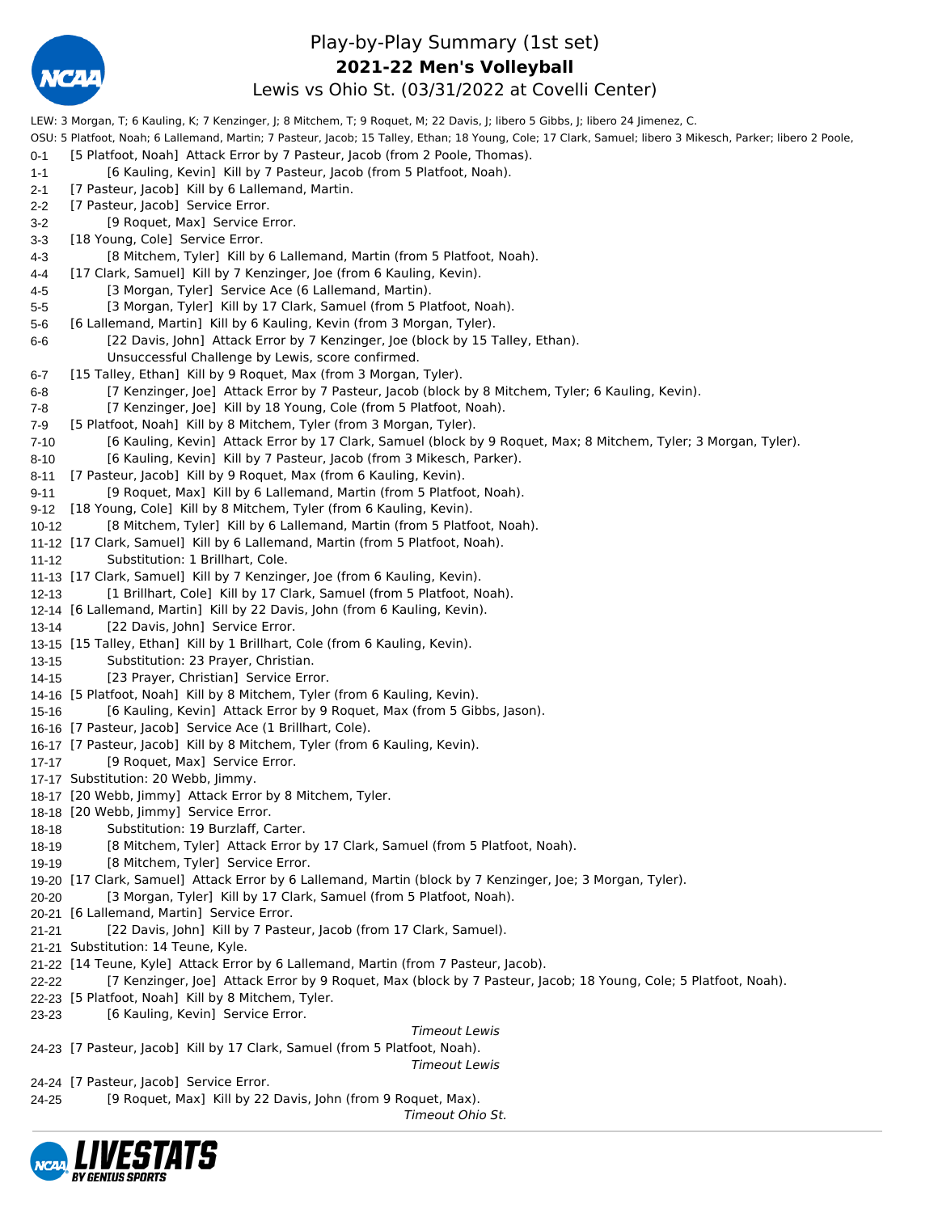

## Play-by-Play Summary (1st set) Lewis vs Ohio St. (03/31/2022 at Covelli Center) **2021-22 Men's Volleyball**

LEW: 3 Morgan, T; 6 Kauling, K; 7 Kenzinger, J; 8 Mitchem, T; 9 Roquet, M; 22 Davis, J; libero 5 Gibbs, J; libero 24 Jimenez, C. OSU: 5 Platfoot, Noah; 6 Lallemand, Martin; 7 Pasteur, Jacob; 15 Talley, Ethan; 18 Young, Cole; 17 Clark, Samuel; libero 3 Mikesch, Parker; libero 2 Poole, 0-1 [5 Platfoot, Noah] Attack Error by 7 Pasteur, Jacob (from 2 Poole, Thomas). 1-1 [6 Kauling, Kevin] Kill by 7 Pasteur, Jacob (from 5 Platfoot, Noah). 2-1 [7 Pasteur, Jacob] Kill by 6 Lallemand, Martin. 2-2 [7 Pasteur, Jacob] Service Error. 3-2 [9 Roquet, Max] Service Error. 3-3 [18 Young, Cole] Service Error. 4-3 [8 Mitchem, Tyler] Kill by 6 Lallemand, Martin (from 5 Platfoot, Noah). 4-4 [17 Clark, Samuel] Kill by 7 Kenzinger, Joe (from 6 Kauling, Kevin). 4-5 [3 Morgan, Tyler] Service Ace (6 Lallemand, Martin). 5-5 [3 Morgan, Tyler] Kill by 17 Clark, Samuel (from 5 Platfoot, Noah). 5-6 [6 Lallemand, Martin] Kill by 6 Kauling, Kevin (from 3 Morgan, Tyler). 6-6 [22 Davis, John] Attack Error by 7 Kenzinger, Joe (block by 15 Talley, Ethan). Unsuccessful Challenge by Lewis, score confirmed. 6-7 [15 Talley, Ethan] Kill by 9 Roquet, Max (from 3 Morgan, Tyler). 6-8 [7 Kenzinger, Joe] Attack Error by 7 Pasteur, Jacob (block by 8 Mitchem, Tyler; 6 Kauling, Kevin). 7-8 [7 Kenzinger, Joe] Kill by 18 Young, Cole (from 5 Platfoot, Noah). 7-9 [5 Platfoot, Noah] Kill by 8 Mitchem, Tyler (from 3 Morgan, Tyler). 7-10 [6 Kauling, Kevin] Attack Error by 17 Clark, Samuel (block by 9 Roquet, Max; 8 Mitchem, Tyler; 3 Morgan, Tyler). 8-10 [6 Kauling, Kevin] Kill by 7 Pasteur, Jacob (from 3 Mikesch, Parker). 8-11 [7 Pasteur, Jacob] Kill by 9 Roquet, Max (from 6 Kauling, Kevin). 9-11 [9 Roquet, Max] Kill by 6 Lallemand, Martin (from 5 Platfoot, Noah). 9-12 [18 Young, Cole] Kill by 8 Mitchem, Tyler (from 6 Kauling, Kevin). 10-12 [8 Mitchem, Tyler] Kill by 6 Lallemand, Martin (from 5 Platfoot, Noah). 11-12 [17 Clark, Samuel] Kill by 6 Lallemand, Martin (from 5 Platfoot, Noah). 11-12 Substitution: 1 Brillhart, Cole. 11-13 [17 Clark, Samuel] Kill by 7 Kenzinger, Joe (from 6 Kauling, Kevin). 12-13 [1 Brillhart, Cole] Kill by 17 Clark, Samuel (from 5 Platfoot, Noah). 12-14 [6 Lallemand, Martin] Kill by 22 Davis, John (from 6 Kauling, Kevin). 13-14 [22 Davis, John] Service Error. 13-15 [15 Talley, Ethan] Kill by 1 Brillhart, Cole (from 6 Kauling, Kevin). 13-15 Substitution: 23 Prayer, Christian. 14-15 [23 Prayer, Christian] Service Error. 14-16 [5 Platfoot, Noah] Kill by 8 Mitchem, Tyler (from 6 Kauling, Kevin). 15-16 [6 Kauling, Kevin] Attack Error by 9 Roquet, Max (from 5 Gibbs, Jason). 16-16 [7 Pasteur, Jacob] Service Ace (1 Brillhart, Cole). 16-17 [7 Pasteur, Jacob] Kill by 8 Mitchem, Tyler (from 6 Kauling, Kevin). 17-17 [9 Roquet, Max] Service Error. 17-17 Substitution: 20 Webb, Jimmy. 18-17 [20 Webb, Jimmy] Attack Error by 8 Mitchem, Tyler. 18-18 [20 Webb, Jimmy] Service Error. 18-18 Substitution: 19 Burzlaff, Carter. 18-19 [8 Mitchem, Tyler] Attack Error by 17 Clark, Samuel (from 5 Platfoot, Noah). 19-19 [8 Mitchem, Tyler] Service Error. 19-20 [17 Clark, Samuel] Attack Error by 6 Lallemand, Martin (block by 7 Kenzinger, Joe; 3 Morgan, Tyler). 20-20 [3 Morgan, Tyler] Kill by 17 Clark, Samuel (from 5 Platfoot, Noah). 20-21 [6 Lallemand, Martin] Service Error. 21-21 [22 Davis, John] Kill by 7 Pasteur, Jacob (from 17 Clark, Samuel). 21-21 Substitution: 14 Teune, Kyle. 21-22 [14 Teune, Kyle] Attack Error by 6 Lallemand, Martin (from 7 Pasteur, Jacob). 22-22 [7 Kenzinger, Joe] Attack Error by 9 Roquet, Max (block by 7 Pasteur, Jacob; 18 Young, Cole; 5 Platfoot, Noah). 22-23 [5 Platfoot, Noah] Kill by 8 Mitchem, Tyler. 23-23 [6 Kauling, Kevin] Service Error. *Timeout Lewis* 24-23 [7 Pasteur, Jacob] Kill by 17 Clark, Samuel (from 5 Platfoot, Noah). *Timeout Lewis* 24-24 [7 Pasteur, Jacob] Service Error. 24-25 [9 Roquet, Max] Kill by 22 Davis, John (from 9 Roquet, Max).

*Timeout Ohio St.*

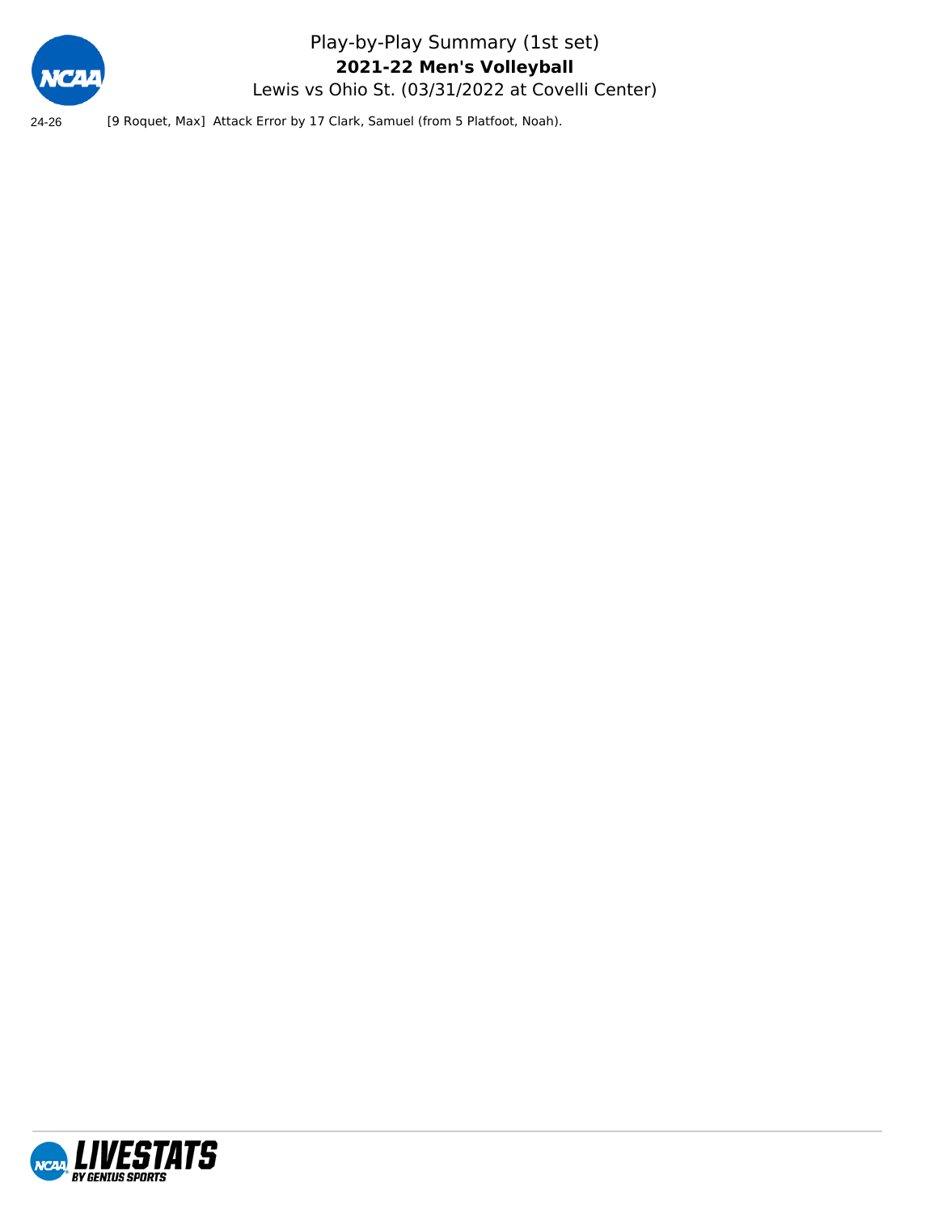

Play-by-Play Summary (1st set) Lewis vs Ohio St. (03/31/2022 at Covelli Center) **2021-22 Men's Volleyball**

24-26 [9 Roquet, Max] Attack Error by 17 Clark, Samuel (from 5 Platfoot, Noah).

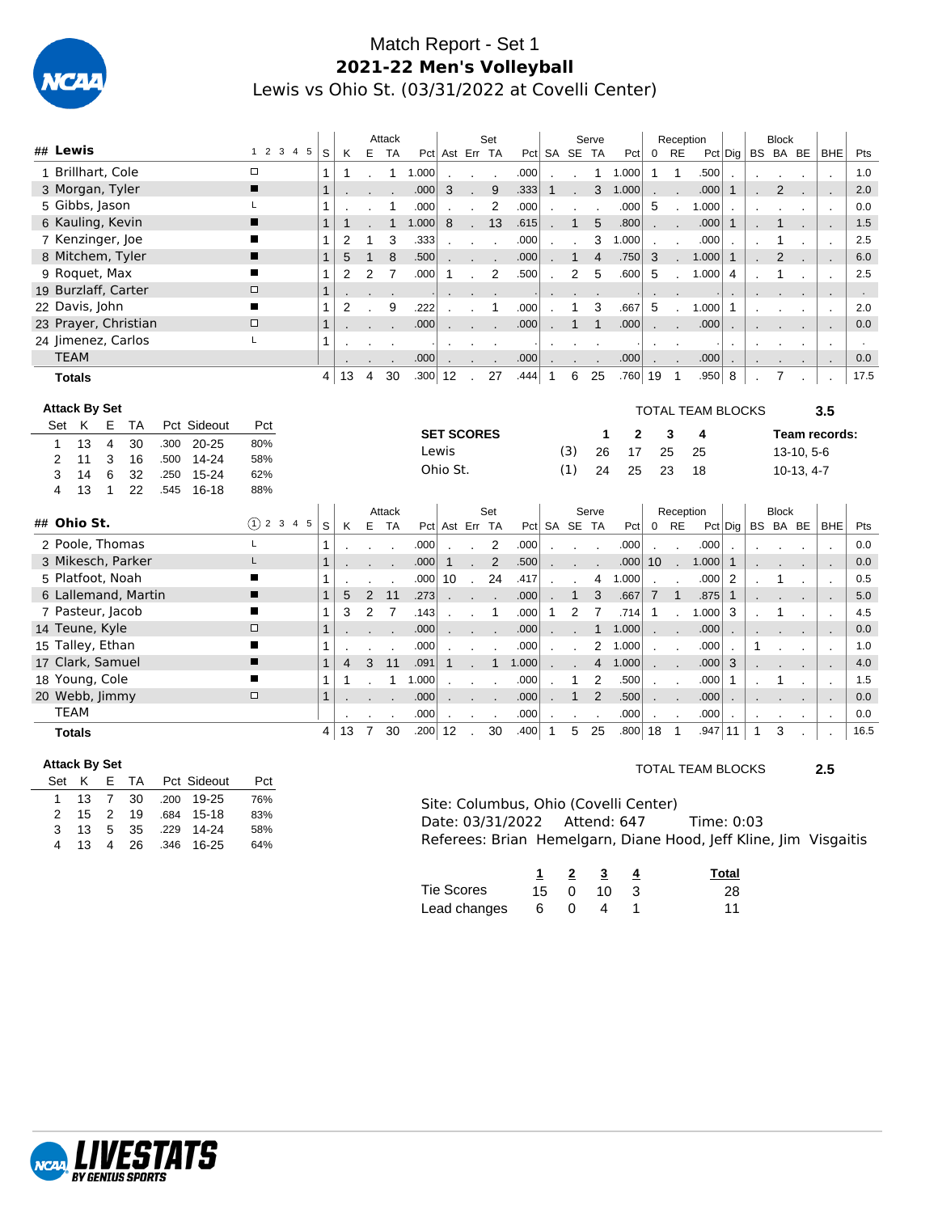

## Match Report - Set 1 **2021-22 Men's Volleyball** Lewis vs Ohio St. (03/31/2022 at Covelli Center)

| ## Lewis |               |                                   |                |                      |      |             |               |                                        |                | Attack                   |                |                   |                | Set                      |              |                |                  | Serve                         |                                       |                 | Reception      |                                                                  |                          |              | <b>Block</b>   |              |                          |                      |
|----------|---------------|-----------------------------------|----------------|----------------------|------|-------------|---------------|----------------------------------------|----------------|--------------------------|----------------|-------------------|----------------|--------------------------|--------------|----------------|------------------|-------------------------------|---------------------------------------|-----------------|----------------|------------------------------------------------------------------|--------------------------|--------------|----------------|--------------|--------------------------|----------------------|
|          |               |                                   |                |                      |      |             | 1 2 3 4 5     | S<br>Κ                                 |                | E TA                     |                | Pct Ast Err TA    |                |                          | Pct          |                | SA SE TA         |                               | Pct                                   | $\mathbf 0$     | <b>RE</b>      |                                                                  | $Pct$ Dig                |              | BS BA BE       |              | <b>BHE</b>               | Pts                  |
|          |               | 1 Brillhart, Cole                 |                |                      |      |             | $\Box$<br>п   | 1<br>$\mathbf{1}$                      |                | $\mathbf{1}$             | 1.000          |                   |                | $\overline{a}$           | .000         |                |                  |                               | 1 1.000                               | $\mathbf{1}$    | $\mathbf{1}$   | .500                                                             |                          |              |                |              | $\overline{a}$           | 1.0                  |
|          |               | 3 Morgan, Tyler<br>5 Gibbs, Jason |                |                      |      |             | L             | 1<br>1                                 |                |                          | .000           | 3                 | ÷.             | 9                        | .333         | $\mathbf{1}$   |                  | 3                             | 1.000                                 |                 |                | .000                                                             | $\mathbf{1}$             |              | $\overline{2}$ |              |                          | 2.0<br>0.0           |
|          |               | 6 Kauling, Kevin                  |                |                      |      |             | г             |                                        |                | $\mathbf{1}$             | .000           | 8                 | $\overline{a}$ | $\overline{2}$           | .000         |                | $\mathbf{1}$     | $\overline{\phantom{a}}$<br>5 | .000<br>.800                          | 5               | $\sim$         | 1.000                                                            |                          |              | $\mathbf{1}$   |              | $\cdot$                  |                      |
|          |               | 7 Kenzinger, Joe                  |                |                      |      |             | п             | $\mathbf{1}$<br>$\mathbf{1}$<br>2<br>1 | 1              | $\mathbf{1}$<br>3        | 1.000<br>.333  |                   | $\mathbf{r}$   | 13                       | .615<br>.000 |                |                  | 3                             | 1.000                                 |                 |                | .000<br>.000                                                     | $\mathbf{1}$             |              | 1              | - 1          | ÷.                       | 1.5<br>2.5           |
|          |               |                                   |                | 8 Mitchem, Tyler     |      |             | п             | $\mathbf{1}$<br>5                      | $\mathbf{1}$   | 8                        | .500           |                   |                | $\overline{\phantom{a}}$ | .000         |                | $\mathbf{1}$     | $\overline{4}$                | .750                                  | $\cdot$<br>3    |                | 1.000                                                            | $\mathbf{1}$             | $\cdot$      | $\overline{2}$ |              | $\ddot{\phantom{a}}$     | 6.0                  |
|          |               | 9 Roquet, Max                     |                |                      |      |             | п             | 1<br>2                                 | $\overline{c}$ | $\overline{7}$           | .000           | $\mathbf{1}$      |                | $\overline{c}$           | .500         |                | $\boldsymbol{2}$ | 5                             | .600                                  | 5               |                | 1.000                                                            | $\overline{4}$           |              | 1              |              | $\overline{\phantom{a}}$ | 2.5                  |
|          |               |                                   |                | 19 Burzlaff, Carter  |      |             | $\Box$        | $\mathbf{1}$                           |                |                          |                |                   |                |                          |              |                |                  |                               |                                       |                 |                |                                                                  |                          |              |                |              | $\cdot$                  | $\sim$               |
|          |               | 22 Davis, John                    |                |                      |      |             | п             | 1<br>2                                 |                | 9                        | .222           |                   |                | 1                        | .000         |                | 1                | 3                             | .667                                  | 5               |                | 1.000                                                            | $\mathbf{1}$             |              |                |              | $\ddot{\phantom{a}}$     | 2.0                  |
|          |               |                                   |                | 23 Prayer, Christian |      |             | $\Box$        | $\mathbf{1}$                           |                |                          | .000           |                   |                |                          | .000         |                | $\mathbf{1}$     | $\overline{1}$                | .000                                  |                 |                | .000                                                             |                          |              |                |              |                          | 0.0                  |
|          |               |                                   |                | 24 Jimenez, Carlos   |      |             | L             | 1                                      |                |                          |                |                   |                |                          |              |                |                  |                               |                                       |                 |                |                                                                  |                          |              |                |              | $\overline{a}$           | $\ddot{\phantom{a}}$ |
|          | <b>TEAM</b>   |                                   |                |                      |      |             |               |                                        |                |                          | .000           |                   |                |                          | .000         | $\overline{a}$ |                  |                               | .000                                  | $\cdot$         |                | .000                                                             | $\overline{\phantom{a}}$ |              |                |              | $\overline{a}$           | 0.0                  |
|          |               | <b>Totals</b>                     |                |                      |      |             |               | 13<br>4                                | 4              | 30                       | .300 12        |                   | $\mathcal{L}$  | 27                       | .444         | $\mathbf{1}$   | 6                | 25                            | .760 19                               |                 | $\overline{1}$ | .950                                                             | 8                        |              | 7              |              |                          | 17.5                 |
|          |               |                                   |                |                      |      |             |               |                                        |                |                          |                |                   |                |                          |              |                |                  |                               |                                       |                 |                |                                                                  |                          |              |                |              |                          |                      |
|          |               | <b>Attack By Set</b>              |                |                      |      |             |               |                                        |                |                          |                |                   |                |                          |              |                |                  |                               |                                       |                 |                | <b>TOTAL TEAM BLOCKS</b>                                         |                          |              |                |              | 3.5                      |                      |
|          | Set           | K                                 | E              | TA                   |      | Pct Sideout | Pct           |                                        |                |                          |                | <b>SET SCORES</b> |                |                          |              |                |                  | 1                             | $\mathbf{2}$                          |                 | 3              | 4                                                                |                          |              |                |              | Team records:            |                      |
|          | 1             | 13                                | $\overline{4}$ | 30                   | .300 | $20 - 25$   | 80%           |                                        |                |                          |                | Lewis             |                |                          |              |                | (3)              | 26                            | 17                                    | 25              |                | 25                                                               |                          |              |                | $13-10, 5-6$ |                          |                      |
|          | 2             | 11                                | 3              | 16                   | .500 | 14-24       | 58%           |                                        |                |                          |                | Ohio St.          |                |                          |              |                | (1)              | 24                            | 25                                    | 23              |                | 18                                                               |                          |              |                |              |                          |                      |
|          | 3             | 14                                | 6              | 32                   | .250 | 15-24       | 62%           |                                        |                |                          |                |                   |                |                          |              |                |                  |                               |                                       |                 |                |                                                                  |                          |              |                | $10-13, 4-7$ |                          |                      |
|          | 4             | 13                                | 1              | 22                   | .545 | 16-18       | 88%           |                                        |                |                          |                |                   |                |                          |              |                |                  |                               |                                       |                 |                |                                                                  |                          |              |                |              |                          |                      |
|          |               |                                   |                |                      |      |             |               |                                        |                | Attack                   |                |                   |                | Set                      |              |                |                  | Serve                         |                                       |                 | Reception      |                                                                  |                          |              | <b>Block</b>   |              |                          |                      |
|          |               |                                   |                |                      |      |             |               |                                        |                |                          |                |                   |                |                          |              |                |                  |                               |                                       |                 |                |                                                                  |                          |              |                |              |                          |                      |
|          |               | ## Ohio St.                       |                |                      |      |             | $(1)$ 2 3 4 5 | $\mathbb S$<br>Κ                       |                | E TA                     |                | Pct Ast Err TA    |                |                          |              |                | Pct SA SE TA     |                               | Pct                                   | $0$ RE          |                |                                                                  | $Pct $ Dig $ $           |              | BS BA BE BHE   |              |                          | Pts                  |
|          |               |                                   |                | 2 Poole, Thomas      |      |             | L             | 1                                      |                | $\overline{\phantom{a}}$ | .000           |                   | L.             | $\overline{2}$           | .000         |                |                  | $\sim$                        | .000                                  | $\mathbf{r}$    | $\mathbf{r}$   | .000                                                             |                          |              |                |              |                          | 0.0                  |
|          |               |                                   |                | 3 Mikesch, Parker    |      |             |               | 1                                      |                |                          | .000           | $\mathbf{1}$      |                | $\overline{2}$           | .500         |                |                  |                               | .000                                  | 10 <sup>1</sup> | $\cdot$        | 1.000                                                            | $\mathbf{1}$             |              |                |              | $\cdot$                  | 0.0                  |
|          |               | 5 Platfoot, Noah                  |                |                      |      |             | ∎             | 1                                      |                | $\overline{\phantom{a}}$ | .000           | 10                | $\overline{a}$ | 24                       | .417         |                |                  | 4                             | 1.000                                 |                 |                | .000                                                             | 2                        |              | 1              |              | $\overline{a}$           | 0.5                  |
|          |               |                                   |                | 6 Lallemand, Martin  |      |             | п             | $\mathbf{1}$<br>5                      | $\overline{2}$ | 11                       | .273           |                   |                |                          | .000         |                | $\mathbf{1}$     | 3                             | .667                                  | $\overline{7}$  | $\bigg $       | .875                                                             | $\mathbf{1}$             |              |                |              | $\sim$                   | 5.0                  |
|          |               | 7 Pasteur, Jacob                  |                |                      |      |             | п             | 1<br>3                                 | 2              | $\overline{7}$           | .143           |                   |                | $\mathbf{1}$             | .000         | 1              | $\overline{2}$   | $\boldsymbol{7}$              | .714                                  | $\mathbf{1}$    |                | 1.000                                                            | 3                        |              | 1              |              | $\ddot{\phantom{a}}$     | 4.5                  |
|          |               | 14 Teune, Kyle                    |                |                      |      |             | $\Box$        | $\mathbf{1}$                           |                |                          | .000           |                   |                |                          | .000         |                |                  | 1                             | 1.000                                 |                 |                | .000                                                             |                          |              |                |              | ٠.                       | 0.0                  |
|          |               | 15 Talley, Ethan                  |                |                      |      |             | п             | 1                                      |                |                          | .000           |                   |                |                          | .000         |                |                  | $\overline{2}$                | 1.000                                 | $\overline{a}$  |                | .000                                                             |                          | 1            |                |              | $\ddot{\phantom{a}}$     | 1.0                  |
|          |               | 17 Clark, Samuel                  |                |                      |      |             | п             | $\mathbf{1}$<br>$\overline{4}$         | 3              | 11                       | .091           | $\mathbf{1}$      |                | $\mathbf{1}$             | 1.000        |                |                  | $\overline{4}$                | 1.000                                 |                 |                | .000                                                             | 3                        |              |                |              | $\blacksquare$           | 4.0                  |
|          |               | 18 Young, Cole                    |                |                      |      |             | п             | 1<br>1                                 |                | $\mathbf{1}$             | 1.000          |                   |                |                          | .000         |                | $\mathbf 1$      | $\overline{2}$                | .500                                  |                 |                | .000                                                             | $\mathbf{1}$             |              | $\mathbf{1}$   |              | $\overline{\phantom{a}}$ | 1.5                  |
|          |               | 20 Webb, Jimmy                    |                |                      |      |             | $\Box$        | $\mathbf{1}$                           |                |                          | .000           |                   |                |                          | .000         |                | $\mathbf{1}$     | $\overline{2}$                | .500                                  |                 |                | .000                                                             |                          |              |                |              |                          | 0.0                  |
|          | <b>TEAM</b>   |                                   |                |                      |      |             |               |                                        |                |                          | .000           |                   |                |                          | .000         |                |                  |                               | .000                                  |                 |                | .000                                                             |                          |              |                |              |                          | 0.0                  |
|          | <b>Totals</b> |                                   |                |                      |      |             |               | 13<br>4                                | $\overline{7}$ | 30                       | $.200 \mid 12$ |                   |                | 30                       | .400         | $\mathbf{1}$   | 5                | 25                            | $.800 $ 18                            |                 | $\overline{1}$ | .947 11                                                          |                          | $\mathbf{1}$ | 3              |              |                          | 16.5                 |
|          |               |                                   |                |                      |      |             |               |                                        |                |                          |                |                   |                |                          |              |                |                  |                               |                                       |                 |                |                                                                  |                          |              |                |              |                          |                      |
|          | Set           | <b>Attack By Set</b><br>K         | Е              | TA                   |      | Pct Sideout | Pct           |                                        |                |                          |                |                   |                |                          |              |                |                  |                               |                                       |                 |                | <b>TOTAL TEAM BLOCKS</b>                                         |                          |              |                |              | 2.5                      |                      |
|          | 1             | 13                                | $\overline{7}$ | 30                   | .200 | 19-25       | 76%           |                                        |                |                          |                |                   |                |                          |              |                |                  |                               |                                       |                 |                |                                                                  |                          |              |                |              |                          |                      |
|          | 2             | 15                                | 2              | 19                   | .684 | $15 - 18$   | 83%           |                                        |                |                          |                |                   |                |                          |              |                |                  |                               | Site: Columbus, Ohio (Covelli Center) |                 |                |                                                                  |                          |              |                |              |                          |                      |
|          | 3             | 13                                | 5              | 35                   | .229 | 14-24       | 58%           |                                        |                |                          |                |                   |                | Date: 03/31/2022         |              |                |                  |                               | Attend: 647                           |                 |                | Time: 0:03                                                       |                          |              |                |              |                          |                      |
|          | 4             | 13                                | 4              | 26                   | .346 | $16 - 25$   | 64%           |                                        |                |                          |                |                   |                |                          |              |                |                  |                               |                                       |                 |                | Referees: Brian Hemelgarn, Diane Hood, Jeff Kline, Jim Visgaitis |                          |              |                |              |                          |                      |

|              |     | $1 \quad 2 \quad 3$ | Total |
|--------------|-----|---------------------|-------|
| Tie Scores   |     | 15 0 10 3           | 28    |
| Lead changes | 604 |                     | 11    |

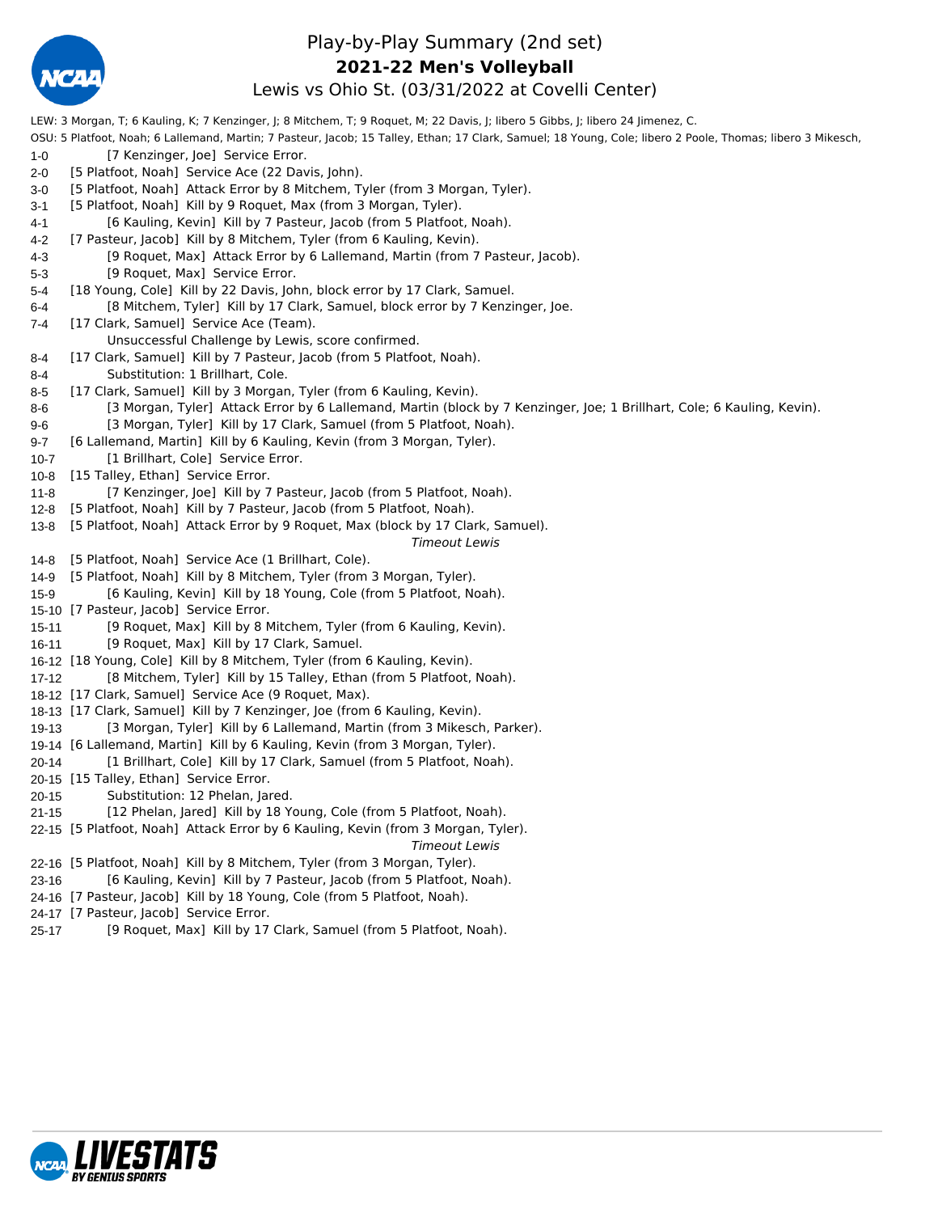

## Play-by-Play Summary (2nd set) Lewis vs Ohio St. (03/31/2022 at Covelli Center) **2021-22 Men's Volleyball**

LEW: 3 Morgan, T; 6 Kauling, K; 7 Kenzinger, J; 8 Mitchem, T; 9 Roquet, M; 22 Davis, J; libero 5 Gibbs, J; libero 24 Jimenez, C. OSU: 5 Platfoot, Noah; 6 Lallemand, Martin; 7 Pasteur, Jacob; 15 Talley, Ethan; 17 Clark, Samuel; 18 Young, Cole; libero 2 Poole, Thomas; libero 3 Mikesch, 1-0 [7 Kenzinger, Joe] Service Error. 2-0 [5 Platfoot, Noah] Service Ace (22 Davis, John). 3-0 [5 Platfoot, Noah] Attack Error by 8 Mitchem, Tyler (from 3 Morgan, Tyler). 3-1 [5 Platfoot, Noah] Kill by 9 Roquet, Max (from 3 Morgan, Tyler). 4-1 [6 Kauling, Kevin] Kill by 7 Pasteur, Jacob (from 5 Platfoot, Noah). 4-2 [7 Pasteur, Jacob] Kill by 8 Mitchem, Tyler (from 6 Kauling, Kevin). 4-3 [9 Roquet, Max] Attack Error by 6 Lallemand, Martin (from 7 Pasteur, Jacob). 5-3 [9 Roquet, Max] Service Error. 5-4 [18 Young, Cole] Kill by 22 Davis, John, block error by 17 Clark, Samuel. 6-4 [8 Mitchem, Tyler] Kill by 17 Clark, Samuel, block error by 7 Kenzinger, Joe. 7-4 [17 Clark, Samuel] Service Ace (Team). Unsuccessful Challenge by Lewis, score confirmed. 8-4 [17 Clark, Samuel] Kill by 7 Pasteur, Jacob (from 5 Platfoot, Noah). 8-4 Substitution: 1 Brillhart, Cole. 8-5 [17 Clark, Samuel] Kill by 3 Morgan, Tyler (from 6 Kauling, Kevin). 8-6 [3 Morgan, Tyler] Attack Error by 6 Lallemand, Martin (block by 7 Kenzinger, Joe; 1 Brillhart, Cole; 6 Kauling, Kevin). 9-6 [3 Morgan, Tyler] Kill by 17 Clark, Samuel (from 5 Platfoot, Noah). 9-7 [6 Lallemand, Martin] Kill by 6 Kauling, Kevin (from 3 Morgan, Tyler). 10-7 [1 Brillhart, Cole] Service Error. 10-8 [15 Talley, Ethan] Service Error. 11-8 [7 Kenzinger, Joe] Kill by 7 Pasteur, Jacob (from 5 Platfoot, Noah). 12-8 [5 Platfoot, Noah] Kill by 7 Pasteur, Jacob (from 5 Platfoot, Noah). 13-8 [5 Platfoot, Noah] Attack Error by 9 Roquet, Max (block by 17 Clark, Samuel). *Timeout Lewis* 14-8 [5 Platfoot, Noah] Service Ace (1 Brillhart, Cole). 14-9 [5 Platfoot, Noah] Kill by 8 Mitchem, Tyler (from 3 Morgan, Tyler). 15-9 [6 Kauling, Kevin] Kill by 18 Young, Cole (from 5 Platfoot, Noah). 15-10 [7 Pasteur, Jacob] Service Error. 15-11 [9 Roquet, Max] Kill by 8 Mitchem, Tyler (from 6 Kauling, Kevin). 16-11 [9 Roquet, Max] Kill by 17 Clark, Samuel. 16-12 [18 Young, Cole] Kill by 8 Mitchem, Tyler (from 6 Kauling, Kevin). 17-12 [8 Mitchem, Tyler] Kill by 15 Talley, Ethan (from 5 Platfoot, Noah). 18-12 [17 Clark, Samuel] Service Ace (9 Roquet, Max). 18-13 [17 Clark, Samuel] Kill by 7 Kenzinger, Joe (from 6 Kauling, Kevin). 19-13 [3 Morgan, Tyler] Kill by 6 Lallemand, Martin (from 3 Mikesch, Parker). 19-14 [6 Lallemand, Martin] Kill by 6 Kauling, Kevin (from 3 Morgan, Tyler). 20-14 [1 Brillhart, Cole] Kill by 17 Clark, Samuel (from 5 Platfoot, Noah). 20-15 [15 Talley, Ethan] Service Error. 20-15 Substitution: 12 Phelan, Jared. 21-15 [12 Phelan, Jared] Kill by 18 Young, Cole (from 5 Platfoot, Noah). 22-15 [5 Platfoot, Noah] Attack Error by 6 Kauling, Kevin (from 3 Morgan, Tyler). *Timeout Lewis* 22-16 [5 Platfoot, Noah] Kill by 8 Mitchem, Tyler (from 3 Morgan, Tyler). 23-16 [6 Kauling, Kevin] Kill by 7 Pasteur, Jacob (from 5 Platfoot, Noah). 24-16 [7 Pasteur, Jacob] Kill by 18 Young, Cole (from 5 Platfoot, Noah). 24-17 [7 Pasteur, Jacob] Service Error.

25-17 [9 Roquet, Max] Kill by 17 Clark, Samuel (from 5 Platfoot, Noah).

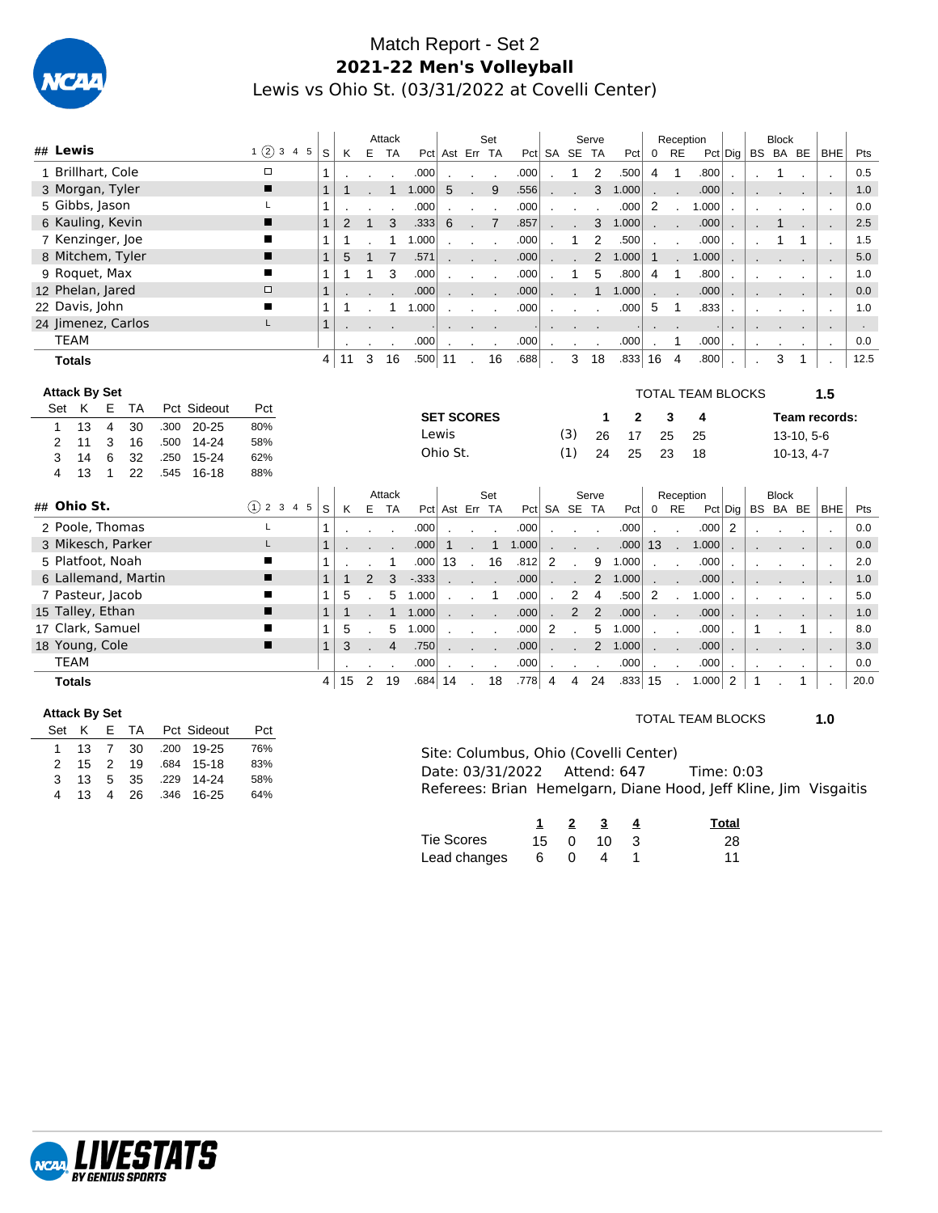

## Match Report - Set 2 **2021-22 Men's Volleyball** Lewis vs Ohio St. (03/31/2022 at Covelli Center)

|                                                    |               |                |              |                | Attack         |            |                      |                          | Set             |       |                |                | Serve          |          |                | Reception      |                          |             |    | <b>Block</b> |              |                          |      |
|----------------------------------------------------|---------------|----------------|--------------|----------------|----------------|------------|----------------------|--------------------------|-----------------|-------|----------------|----------------|----------------|----------|----------------|----------------|--------------------------|-------------|----|--------------|--------------|--------------------------|------|
| ## Lewis                                           | 1(2)345       | S              | K            |                | E TA           |            | Pct Ast Err TA       |                          |                 |       |                | Pct SA SE TA   |                | Pct      | $\mathbf 0$    | <b>RE</b>      |                          | $Pct$ Dig   |    |              | BS BA BE     | <b>BHE</b>               | Pts  |
| 1 Brillhart, Cole                                  | $\Box$        | 1              |              |                |                | .000       | $\cdot$              | $\overline{\phantom{a}}$ | $\sim$          | .000  |                | 1              | 2              | .500     | $\overline{4}$ | $\mathbf{1}$   | .800                     |             |    | 1            |              |                          | 0.5  |
| 3 Morgan, Tyler                                    | ■             | $\overline{1}$ | $\mathbf{1}$ |                | $\mathbf{1}$   | 1.000      | 5                    | $\mathbf{r}$             | 9               | .556  |                |                | 3              | 1.000    |                |                | .000                     |             |    |              |              |                          | 1.0  |
| 5 Gibbs, Jason                                     | L             | 1              |              |                |                | .000       |                      | $\blacksquare$           | $\cdot$         | .000  |                |                |                | .000     | 2              |                | 1.000                    |             |    |              |              | $\blacksquare$           | 0.0  |
| 6 Kauling, Kevin                                   | П             | $\mathbf{1}$   | 2            | $\mathbf{1}$   | 3              | .333       | 6                    |                          | $\overline{7}$  | .857  |                |                | 3              | 1.000    |                |                | .000                     |             |    | 1            |              | $\ddot{\phantom{a}}$     | 2.5  |
| 7 Kenzinger, Joe                                   | п             | 1              | $\mathbf 1$  |                | $\mathbf{1}$   | 1.000      |                      |                          | $\sim$ 10 $\pm$ | .000  |                | $\mathbf{1}$   | $\overline{2}$ | .500     |                |                | .000                     |             |    | 1            | 1            |                          | 1.5  |
| 8 Mitchem, Tyler                                   | п             | $\mathbf{1}$   | 5            | $\mathbf{1}$   | $\overline{7}$ | .571       |                      | <b>Contract Contract</b> |                 | .000  |                |                | 2              | 1.000    | $\mathbf{1}$   |                | 1.000                    |             |    |              |              |                          | 5.0  |
| 9 Roquet, Max                                      | ■             | $\mathbf{1}$   | $\mathbf 1$  |                | 3              | .000       |                      |                          |                 | .000  |                | 1              | 5              | .800     | $\overline{4}$ | $\overline{1}$ | .800                     |             |    |              |              |                          | 1.0  |
| 12 Phelan, Jared                                   | $\Box$        | $\mathbf{1}$   |              |                |                | .000       |                      |                          |                 | .000  |                |                | $\mathbf{1}$   | 1.000    |                |                | .000                     |             |    |              |              | $\overline{\phantom{a}}$ | 0.0  |
| 22 Davis, John                                     | ∎             | 1              | -1           |                | 1              | 1.000      |                      |                          |                 | .000  |                |                |                | .000     | 5              | $\overline{1}$ | .833                     |             |    |              |              |                          | 1.0  |
| 24 Jimenez, Carlos                                 | L.            | $\mathbf{1}$   |              |                |                |            |                      |                          |                 |       |                |                |                |          |                |                |                          |             |    |              |              |                          |      |
| <b>TEAM</b>                                        |               |                |              |                |                | .000       | $\ddot{\phantom{a}}$ | $\sim$                   | $\sim$          | .000  | $\mathbf{r}$   |                | $\overline{a}$ | .000     | $\mathbf{r}$   | 1              | .000                     | $\cdot$     |    |              |              | $\cdot$                  | 0.0  |
| <b>Totals</b>                                      |               | $\overline{4}$ | 11           | 3              | 16             | $.500 $ 11 |                      | $\mathbf{r}$             | 16              | .688  |                | 3              | 18             | .833  16 |                | $\overline{4}$ | .800                     |             |    | 3            | 1            |                          | 12.5 |
|                                                    |               |                |              |                |                |            |                      |                          |                 |       |                |                |                |          |                |                |                          |             |    |              |              |                          |      |
| <b>Attack By Set</b>                               |               |                |              |                |                |            |                      |                          |                 |       |                |                |                |          |                |                | <b>TOTAL TEAM BLOCKS</b> |             |    |              |              | 1.5                      |      |
| Set K<br>Pct Sideout<br>Ε<br><b>TA</b>             | Pct           |                |              |                |                |            | <b>SET SCORES</b>    |                          |                 |       |                |                | $\mathbf 1$    | 2        |                | 3              | 4                        |             |    |              |              | Team records:            |      |
| 13<br>4<br>30<br>$20 - 25$<br>$\mathbf{1}$<br>.300 | 80%           |                |              |                |                |            | Lewis                |                          |                 |       |                | (3)            | 26             | 17       | 25             |                | 25                       |             |    |              | 13-10, 5-6   |                          |      |
| 3<br>16<br>14-24<br>11<br>.500<br>2                | 58%           |                |              |                |                |            | Ohio St.             |                          |                 |       |                | (1)            | 24             | 25       |                | 23             | 18                       |             |    |              | $10-13, 4-7$ |                          |      |
| 6<br>3<br>14<br>32<br>$15 - 24$<br>.250            | 62%           |                |              |                |                |            |                      |                          |                 |       |                |                |                |          |                |                |                          |             |    |              |              |                          |      |
| 13<br>1<br>22<br>16-18<br>4<br>.545                | 88%           |                |              |                |                |            |                      |                          |                 |       |                |                |                |          |                |                |                          |             |    |              |              |                          |      |
| ## Ohio St.                                        |               |                |              |                |                |            |                      |                          |                 |       |                |                |                |          |                |                |                          |             |    |              |              |                          |      |
|                                                    |               |                |              |                | Attack         |            |                      |                          | Set             |       |                |                | Serve          |          |                | Reception      |                          |             |    | <b>Block</b> |              |                          |      |
|                                                    | $(1)$ 2 3 4 5 | S              | K            | Е              | <b>TA</b>      |            | Pct Ast Err TA       |                          |                 |       |                | Pct SA SE TA   |                | Pct      |                | $0$ RE         |                          | $Pct  $ Dig |    |              | BS BA BE     | <b>BHE</b>               | Pts  |
| 2 Poole, Thomas                                    | L             | 1              |              |                |                | .000       | $\blacksquare$       | $\blacksquare$           |                 | .000  |                |                |                | .000     | $\cdot$        |                | .000                     | 2           |    |              |              | $\sim$                   | 0.0  |
| 3 Mikesch, Parker                                  | L             | $\mathbf{1}$   |              |                |                | .000       | 1                    |                          | $\mathbf{1}$    | 1.000 |                |                |                | .000     | 13             |                | 1.000                    |             |    |              |              | $\sim$                   | 0.0  |
| 5 Platfoot, Noah                                   | П             | 1              |              |                | $\mathbf{1}$   | .000       | 13                   | $\mathbf{r}$             | 16              | .812  | 2              |                | 9              | 1.000    |                |                | .000                     |             |    |              |              |                          | 2.0  |
| 6 Lallemand, Martin                                | п             | $\mathbf{1}$   | $\mathbf{1}$ | $\overline{2}$ | 3              | $-0.333$   |                      |                          |                 | .000  |                |                | $\overline{2}$ | 1.000    |                |                | .000                     |             |    |              |              | $\sim$                   | 1.0  |
| 7 Pasteur, Jacob                                   | ■             | $\mathbf{1}$   | 5            |                | 5              | 1.000      |                      |                          | $\mathbf{1}$    | .000  |                | $\overline{2}$ | 4              | .500     | 2              |                | 1.000                    |             |    |              |              |                          | 5.0  |
| 15 Talley, Ethan                                   | п             | $\mathbf{1}$   | $\mathbf{1}$ |                | $\mathbf{1}$   | 1.000      |                      |                          |                 | .000  |                | $\overline{2}$ | $\overline{2}$ | .000     |                |                | .000                     |             |    |              |              |                          | 1.0  |
| 17 Clark, Samuel                                   | ■             | $\mathbf{1}$   | 5            |                | 5              | 1.000      |                      | $\mathbf{r}$             | $\sim$          | .000  | 2              |                | 5              | 1.000    |                |                | .000                     |             | 1  |              | 1            |                          | 8.0  |
| 18 Young, Cole                                     | ■             | $\mathbf{1}$   | 3            |                | $\overline{4}$ | .750       |                      |                          |                 | .000  |                |                | $\overline{2}$ | 1.000    |                |                | .000                     |             |    |              |              |                          | 3.0  |
| <b>TEAM</b>                                        |               |                |              |                |                | .000       | $\mathbf{r}$         | $\sim$                   | $\sim$          | .000  | $\blacksquare$ |                |                | .000     |                |                | .000                     |             |    |              |              | $\cdot$                  | 0.0  |
| <b>Totals</b>                                      |               | 4              | 15           | 2              | 19             | .684       | 14                   |                          | 18              | .778  | $\overline{4}$ | 4              | 24             | .833  15 |                |                | 1.000                    | 2           | -1 |              | 1            |                          | 20.0 |

#### **Attack By Set**

| Set K         |                 |  | E TA Pct Sideout     | Pct |
|---------------|-----------------|--|----------------------|-----|
|               |                 |  | 1 13 7 30 .200 19-25 | 76% |
|               |                 |  | 2 15 2 19 684 15-18  | 83% |
| $\mathcal{R}$ | - 13            |  | 5 35 .229 14-24      | 58% |
| 4             | 13 <sup>1</sup> |  | 4 26 .346 16-25      | 64% |

### TOTAL TEAM BLOCKS **1.0**

| Site: Columbus, Ohio (Covelli Center) |                                                                  |  |
|---------------------------------------|------------------------------------------------------------------|--|
| Date: 03/31/2022 Attend: 647          | Time: 0:03                                                       |  |
|                                       | Referees: Brian Hemelgarn, Diane Hood, Jeff Kline, Jim Visgaitis |  |

|              |     | 1 2 3     | Total |
|--------------|-----|-----------|-------|
| Tie Scores   |     | 15 0 10 3 | 28    |
| Lead changes | 6 0 | 4         | 11    |

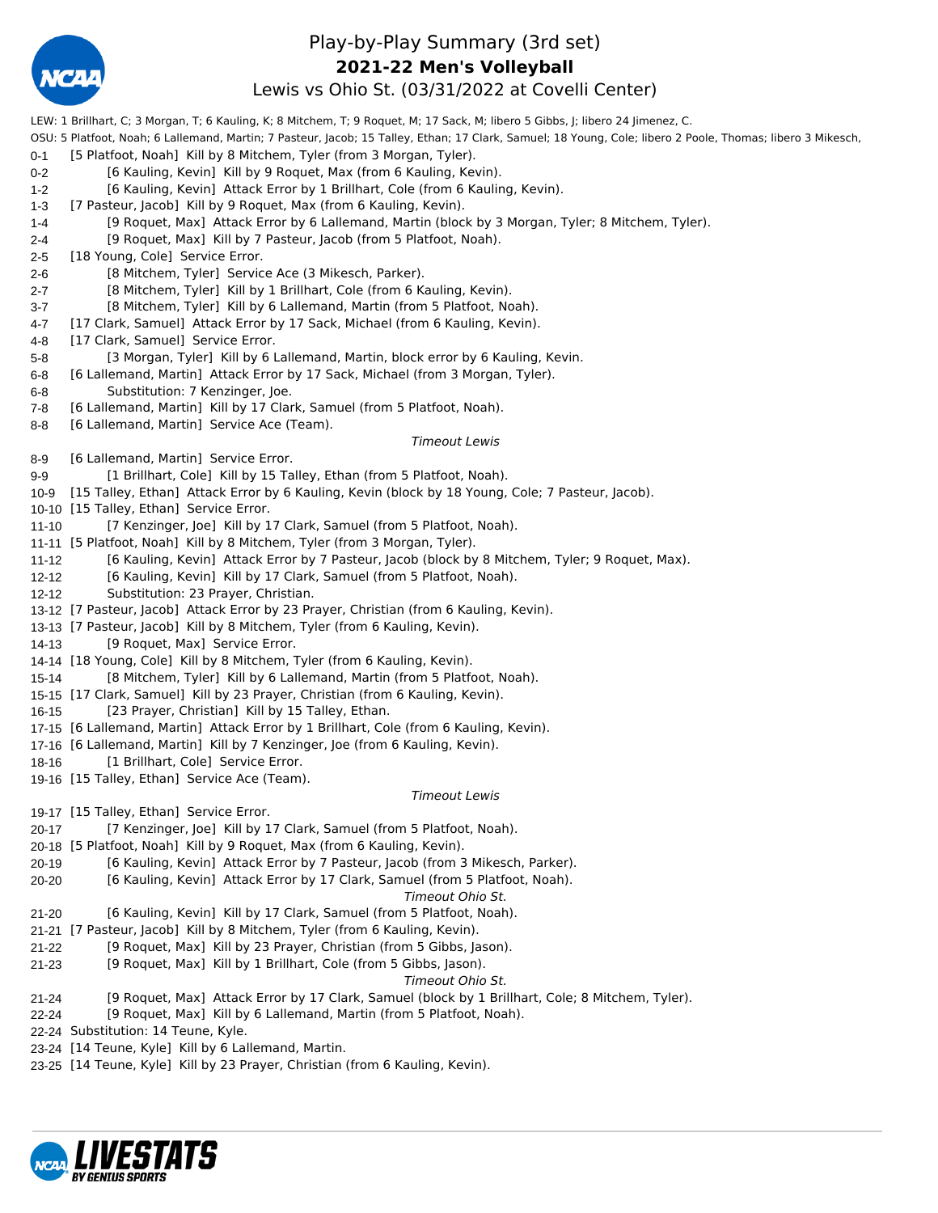

## Play-by-Play Summary (3rd set) Lewis vs Ohio St. (03/31/2022 at Covelli Center) **2021-22 Men's Volleyball**

LEW: 1 Brillhart, C; 3 Morgan, T; 6 Kauling, K; 8 Mitchem, T; 9 Roquet, M; 17 Sack, M; libero 5 Gibbs, J; libero 24 Jimenez, C.

OSU: 5 Platfoot, Noah; 6 Lallemand, Martin; 7 Pasteur, Jacob; 15 Talley, Ethan; 17 Clark, Samuel; 18 Young, Cole; libero 2 Poole, Thomas; libero 3 Mikesch,

- 0-1 [5 Platfoot, Noah] Kill by 8 Mitchem, Tyler (from 3 Morgan, Tyler).
- 0-2 [6 Kauling, Kevin] Kill by 9 Roquet, Max (from 6 Kauling, Kevin).
- 1-2 [6 Kauling, Kevin] Attack Error by 1 Brillhart, Cole (from 6 Kauling, Kevin).
- 1-3 [7 Pasteur, Jacob] Kill by 9 Roquet, Max (from 6 Kauling, Kevin).
- 1-4 [9 Roquet, Max] Attack Error by 6 Lallemand, Martin (block by 3 Morgan, Tyler; 8 Mitchem, Tyler).
- 2-4 [9 Roquet, Max] Kill by 7 Pasteur, Jacob (from 5 Platfoot, Noah).
- 2-5 [18 Young, Cole] Service Error.
- 2-6 [8 Mitchem, Tyler] Service Ace (3 Mikesch, Parker).
- 2-7 [8 Mitchem, Tyler] Kill by 1 Brillhart, Cole (from 6 Kauling, Kevin).
- 3-7 [8 Mitchem, Tyler] Kill by 6 Lallemand, Martin (from 5 Platfoot, Noah).
- 4-7 [17 Clark, Samuel] Attack Error by 17 Sack, Michael (from 6 Kauling, Kevin).
- 4-8 [17 Clark, Samuel] Service Error.
- 5-8 [3 Morgan, Tyler] Kill by 6 Lallemand, Martin, block error by 6 Kauling, Kevin.
- 6-8 [6 Lallemand, Martin] Attack Error by 17 Sack, Michael (from 3 Morgan, Tyler). 6-8 Substitution: 7 Kenzinger, Joe.
- 7-8 [6 Lallemand, Martin] Kill by 17 Clark, Samuel (from 5 Platfoot, Noah).
- 8-8 [6 Lallemand, Martin] Service Ace (Team).

#### *Timeout Lewis*

- 8-9 [6 Lallemand, Martin] Service Error.
- 9-9 [1 Brillhart, Cole] Kill by 15 Talley, Ethan (from 5 Platfoot, Noah).
- 10-9 [15 Talley, Ethan] Attack Error by 6 Kauling, Kevin (block by 18 Young, Cole; 7 Pasteur, Jacob).
- 10-10 [15 Talley, Ethan] Service Error.
- 11-10 [7 Kenzinger, Joe] Kill by 17 Clark, Samuel (from 5 Platfoot, Noah).
- 11-11 [5 Platfoot, Noah] Kill by 8 Mitchem, Tyler (from 3 Morgan, Tyler).
- 11-12 [6 Kauling, Kevin] Attack Error by 7 Pasteur, Jacob (block by 8 Mitchem, Tyler; 9 Roquet, Max).
- 12-12 [6 Kauling, Kevin] Kill by 17 Clark, Samuel (from 5 Platfoot, Noah).
- 12-12 Substitution: 23 Prayer, Christian.
- 13-12 [7 Pasteur, Jacob] Attack Error by 23 Prayer, Christian (from 6 Kauling, Kevin).
- 13-13 [7 Pasteur, Jacob] Kill by 8 Mitchem, Tyler (from 6 Kauling, Kevin).
- 14-13 [9 Roquet, Max] Service Error.
- 14-14 [18 Young, Cole] Kill by 8 Mitchem, Tyler (from 6 Kauling, Kevin).
- 15-14 [8 Mitchem, Tyler] Kill by 6 Lallemand, Martin (from 5 Platfoot, Noah).
- 15-15 [17 Clark, Samuel] Kill by 23 Prayer, Christian (from 6 Kauling, Kevin).
- 16-15 [23 Prayer, Christian] Kill by 15 Talley, Ethan.
- 17-15 [6 Lallemand, Martin] Attack Error by 1 Brillhart, Cole (from 6 Kauling, Kevin).
- 17-16 [6 Lallemand, Martin] Kill by 7 Kenzinger, Joe (from 6 Kauling, Kevin).
- 18-16 [1 Brillhart, Cole] Service Error.
- 19-16 [15 Talley, Ethan] Service Ace (Team).

#### *Timeout Lewis*

19-17 [15 Talley, Ethan] Service Error.

- 20-17 [7 Kenzinger, Joe] Kill by 17 Clark, Samuel (from 5 Platfoot, Noah).
- 20-18 [5 Platfoot, Noah] Kill by 9 Roquet, Max (from 6 Kauling, Kevin).
- 20-19 [6 Kauling, Kevin] Attack Error by 7 Pasteur, Jacob (from 3 Mikesch, Parker).
- 20-20 [6 Kauling, Kevin] Attack Error by 17 Clark, Samuel (from 5 Platfoot, Noah).

*Timeout Ohio St.*

- 21-20 [6 Kauling, Kevin] Kill by 17 Clark, Samuel (from 5 Platfoot, Noah).
- 21-21 [7 Pasteur, Jacob] Kill by 8 Mitchem, Tyler (from 6 Kauling, Kevin).
- 21-22 [9 Roquet, Max] Kill by 23 Prayer, Christian (from 5 Gibbs, Jason).
- 21-23 [9 Roquet, Max] Kill by 1 Brillhart, Cole (from 5 Gibbs, Jason).

#### *Timeout Ohio St.*

- 21-24 [9 Roquet, Max] Attack Error by 17 Clark, Samuel (block by 1 Brillhart, Cole; 8 Mitchem, Tyler).
- 22-24 [9 Roquet, Max] Kill by 6 Lallemand, Martin (from 5 Platfoot, Noah).
- 22-24 Substitution: 14 Teune, Kyle.
- 23-24 [14 Teune, Kyle] Kill by 6 Lallemand, Martin.
- 23-25 [14 Teune, Kyle] Kill by 23 Prayer, Christian (from 6 Kauling, Kevin).

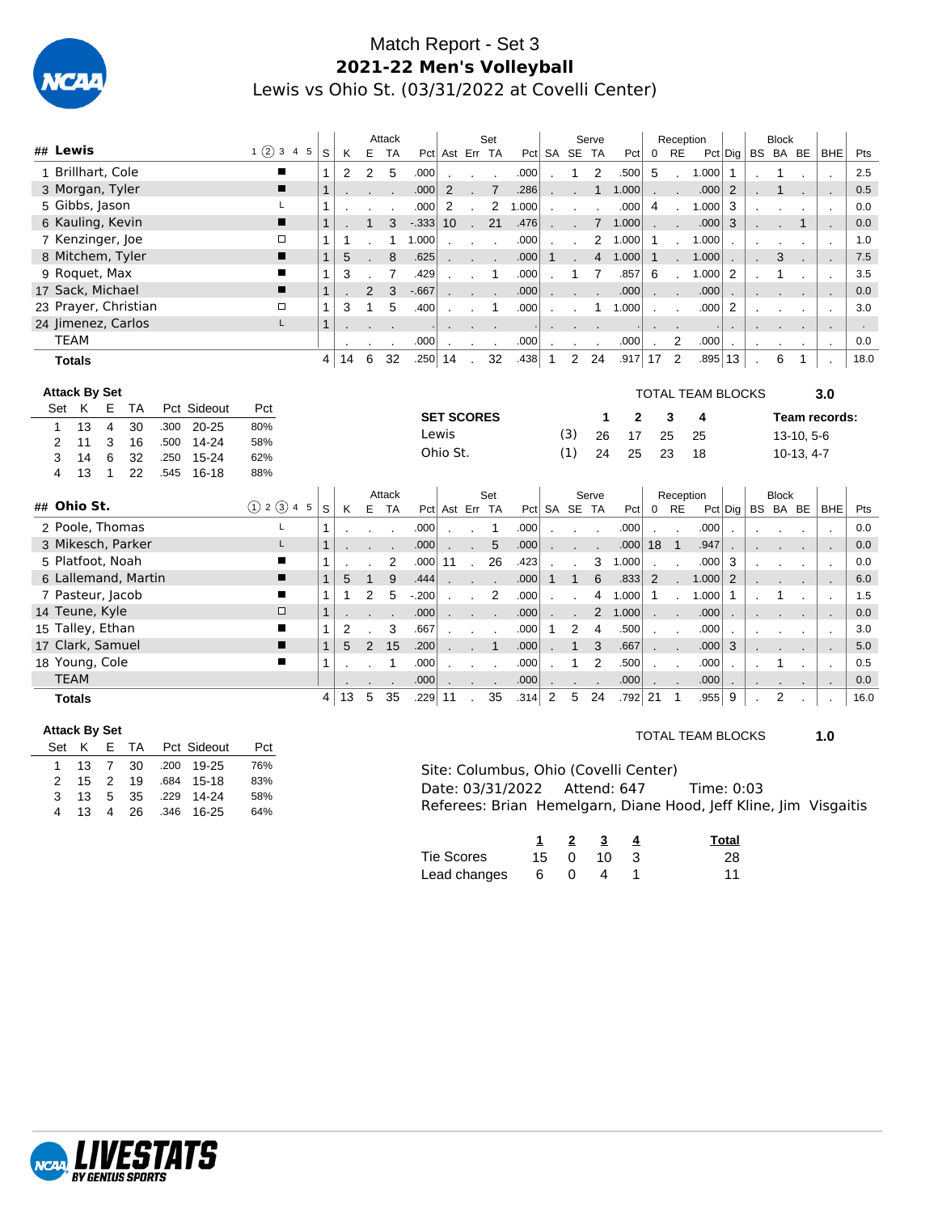

## Match Report - Set 3 **2021-22 Men's Volleyball** Lewis vs Ohio St. (03/31/2022 at Covelli Center)

|              |             |               |                      |                      |      |             |               |                |                |                | Attack         |            |                   |              | Set            |       |                |                | Serve          |       |                      | Reception            |                          |              |          | <b>Block</b> |                |                          |      |
|--------------|-------------|---------------|----------------------|----------------------|------|-------------|---------------|----------------|----------------|----------------|----------------|------------|-------------------|--------------|----------------|-------|----------------|----------------|----------------|-------|----------------------|----------------------|--------------------------|--------------|----------|--------------|----------------|--------------------------|------|
| ## Lewis     |             |               |                      |                      |      |             | 1(2)345       | S              | K              | Е              | <b>TA</b>      |            | Pct Ast Err TA    |              |                |       |                | Pct SA SE TA   |                | Pct   | 0                    | <b>RE</b>            |                          | Pct Dig      | BS BA BE |              |                | <b>BHE</b>               | Pts  |
|              |             |               | 1 Brillhart, Cole    |                      |      |             |               | 1              | $\overline{2}$ | $\overline{2}$ | 5              | .000       |                   |              |                | .000  |                | 1              | 2              | .500  | 5                    |                      | 1.000                    | $\mathbf{1}$ |          | 1            |                |                          | 2.5  |
|              |             |               | 3 Morgan, Tyler      |                      |      |             | П             | 1              |                |                |                | .000       | 2                 |              | $\overline{7}$ | .286  |                |                | $\mathbf{1}$   | 1.000 |                      |                      | .000                     | 2            |          | 1            |                |                          | 0.5  |
|              |             |               | 5 Gibbs, Jason       |                      |      |             | L             | 1              |                |                |                | .000       | 2                 |              | 2              | 1.000 |                |                |                | .000  | 4                    | $\mathbf{r}$         | 1.000                    | 3            |          |              |                |                          | 0.0  |
|              |             |               | 6 Kauling, Kevin     |                      |      |             | П             | $\overline{1}$ |                | $\mathbf{1}$   | 3              | $-333$     | 10                | $\mathbf{r}$ | 21             | .476  |                |                | $7^{\circ}$    | 1.000 |                      |                      | .000                     | 3            |          |              | $\mathbf{1}$   |                          | 0.0  |
|              |             |               | 7 Kenzinger, Joe     |                      |      |             | $\Box$        | 1              | -1             |                | $\mathbf{1}$   | 1.000      |                   |              | $\sim$         | .000  |                |                | $\mathbf{2}$   | 1.000 | 1                    | $\mathcal{L}$        | 1.000                    |              |          |              |                |                          | 1.0  |
|              |             |               |                      | 8 Mitchem, Tyler     |      |             | П             | $\mathbf{1}$   | 5              |                | 8              | .625       |                   |              |                | .000  | $\mathbf{1}$   |                | $\overline{4}$ | 1.000 | $\mathbf{1}$         | $\mathbf{r}$         | 1.000                    |              |          | 3            |                |                          | 7.5  |
|              |             |               | 9 Roquet, Max        |                      |      |             | п             | 1              | 3              |                | $\overline{7}$ | .429       |                   |              | 1              | .000  |                | 1              | $\overline{7}$ | .857  | 6                    |                      | 1.000                    | 2            |          |              |                |                          | 3.5  |
|              |             |               | 17 Sack, Michael     |                      |      |             | ■             | $\mathbf{1}$   |                | $\overline{2}$ | 3              | $-667$     |                   |              |                | .000  |                |                |                | .000  |                      |                      | .000                     |              |          |              |                |                          | 0.0  |
|              |             |               |                      | 23 Prayer, Christian |      |             | $\Box$        | 1              | 3              | $\mathbf{1}$   | 5              | .400       |                   |              | 1              | .000  |                |                | 1              | 1.000 |                      |                      | .000                     | 2            |          |              |                |                          | 3.0  |
|              |             |               |                      | 24 Jimenez, Carlos   |      |             | L             | $\mathbf{1}$   |                |                |                |            |                   |              |                |       |                |                |                |       | $\cdot$              |                      |                          |              |          |              |                |                          |      |
|              | <b>TEAM</b> |               |                      |                      |      |             |               |                | $\cdot$        | $\cdot$        | $\cdot$        | .000       | $\blacksquare$    | $\cdot$      | $\cdot$        | .000  |                |                | $\blacksquare$ | .000  | $\ddot{\phantom{a}}$ | 2                    | .000                     | $\cdot$      | $\cdot$  |              | $\blacksquare$ | $\sim$                   | 0.0  |
|              |             | <b>Totals</b> |                      |                      |      |             |               | 4              | 14             | 6              | 32             | $.250 $ 14 |                   | $\mathbf{r}$ | 32             | .438  | $\overline{1}$ |                | 2 24           | .917  | 17                   | $\overline{2}$       | .895 13                  |              |          | 6            | 1              |                          | 18.0 |
|              |             |               |                      |                      |      |             |               |                |                |                |                |            |                   |              |                |       |                |                |                |       |                      |                      |                          |              |          |              |                |                          |      |
|              |             |               | <b>Attack By Set</b> |                      |      |             |               |                |                |                |                |            |                   |              |                |       |                |                |                |       |                      |                      | <b>TOTAL TEAM BLOCKS</b> |              |          |              |                | 3.0                      |      |
|              | Set         | K             | Е                    | <b>TA</b>            |      | Pct Sideout | Pct           |                |                |                |                |            | <b>SET SCORES</b> |              |                |       |                |                | 1              | 2     |                      | 3                    | 4                        |              |          |              |                | Team records:            |      |
| $\mathbf{1}$ |             | 13            | $\overline{4}$       | 30                   | .300 | $20 - 25$   | 80%           |                |                |                |                |            | Lewis             |              |                |       |                | (3)            | 26             | 17    |                      | 25                   | 25                       |              |          |              | 13-10, 5-6     |                          |      |
| 2            |             | 11            | 3                    | 16                   | .500 | $14 - 24$   | 58%           |                |                |                |                |            | Ohio St.          |              |                |       |                | (1)            | 24             | 25    |                      | 23                   | 18                       |              |          |              | $10-13, 4-7$   |                          |      |
| 3            |             | 14            | 6                    | 32                   | .250 | $15 - 24$   | 62%           |                |                |                |                |            |                   |              |                |       |                |                |                |       |                      |                      |                          |              |          |              |                |                          |      |
| 4            |             | 13            | 1                    | 22                   | .545 | 16-18       | 88%           |                |                |                |                |            |                   |              |                |       |                |                |                |       |                      |                      |                          |              |          |              |                |                          |      |
|              |             |               |                      |                      |      |             |               |                |                |                | Attack         |            |                   |              | Set            |       |                |                | Serve          |       |                      | Reception            |                          |              |          | <b>Block</b> |                |                          |      |
| ## Ohio St.  |             |               |                      |                      |      |             | (1) 2 (3) 4 5 | S              | K              | Е              | <b>TA</b>      |            | Pct Ast Err TA    |              |                |       |                | Pct SA SE TA   |                | Pct   | $\mathbf 0$          | <b>RE</b>            |                          | $Pct  $ Dig  |          |              |                | BS BA BE   BHE           | Pts  |
|              |             |               |                      | 2 Poole, Thomas      |      |             | L             | 1              |                |                | $\blacksquare$ | .000       |                   |              | 1              | .000  |                |                | $\sim$         | .000  |                      | $\ddot{\phantom{a}}$ | .000                     |              |          |              |                | $\overline{\phantom{a}}$ | 0.0  |
|              |             |               |                      | 3 Mikesch, Parker    |      |             | L             | $\mathbf{1}$   |                |                |                | .000       |                   |              | 5              | .000  |                |                |                | .000  | 18                   | $\overline{1}$       | .947                     |              |          |              |                |                          | 0.0  |
|              |             |               | 5 Platfoot, Noah     |                      |      |             | ■             | 1              |                |                | 2              | .000       | 11                |              | 26             | .423  |                |                | 3              | 1.000 |                      |                      | .000                     | 3            |          |              |                |                          | 0.0  |
|              |             |               |                      | 6 Lallemand, Martin  |      |             | ■             | $\mathbf{1}$   | 5              | $\mathbf{1}$   | 9              | .444       |                   |              |                | .000  | 1              | $\mathbf{1}$   | 6              | .833  | 2                    |                      | 1.000                    | 2            |          |              |                | $\ddot{\phantom{a}}$     | 6.0  |
|              |             |               | 7 Pasteur, Jacob     |                      |      |             | ■             | 1              | $\mathbf{1}$   | 2              | 5              | $-200$     |                   |              | 2              | .000  |                |                | 4              | 1.000 | $\mathbf 1$          |                      | 1.000                    | 1            |          | 1            |                |                          | 1.5  |
|              |             |               | 14 Teune, Kyle       |                      |      |             | $\Box$        | $\mathbf{1}$   |                |                |                | .000       |                   |              |                | .000  |                |                | $\overline{2}$ | 1.000 | $\mathbf{r}$         | ۰                    | .000                     |              |          |              |                |                          | 0.0  |
|              |             |               | 15 Talley, Ethan     |                      |      |             | п             | 1              | 2              |                | 3              | .667       |                   |              |                | .000  | 1              | $\overline{2}$ | 4              | .500  |                      | $\mathbf{r}$         | .000                     |              |          |              |                |                          | 3.0  |
|              |             |               | 17 Clark, Samuel     |                      |      |             | п             | $\mathbf{1}$   | 5              | 2              | 15             | .200       |                   |              | $\mathbf{1}$   | .000  |                | $\mathbf{1}$   | 3              | .667  | $\overline{a}$       |                      | .000                     | 3            |          |              |                |                          | 5.0  |
|              |             |               | 18 Young, Cole       |                      |      |             | п             | 1              |                |                | $\mathbf{1}$   | .000       |                   | $\sim$       | $\sim$         | .000  |                | 1              | $\overline{2}$ | .500  | $\overline{a}$       | $\sim$               | .000                     |              |          |              |                | $\overline{\phantom{a}}$ | 0.5  |
|              | <b>TEAM</b> |               |                      |                      |      |             |               |                |                |                |                | .000       | $\mathbf{r}$      | $\mathbf{r}$ |                | .000  |                |                |                | .000  | $\cdot$              |                      | .000                     |              |          |              |                | $\cdot$                  | 0.0  |
|              |             | <b>Totals</b> |                      |                      |      |             |               | 4              | 13             | 5              | 35             | $.229$ 11  |                   |              | 35             | .314  | $\overline{2}$ | 5              | 24             | .792  | 21                   | 1                    | .955                     | 9            |          | 2            |                |                          | 16.0 |
|              |             |               |                      |                      |      |             |               |                |                |                |                |            |                   |              |                |       |                |                |                |       |                      |                      |                          |              |          |              |                |                          |      |
|              |             |               | <b>Attack By Set</b> |                      |      |             |               |                |                |                |                |            |                   |              |                |       |                |                |                |       |                      |                      | TOTAL TEAM BLOCKS        |              |          |              |                | 1 N                      |      |

| Allaun Dy Jel |    |       |            |                    |     |
|---------------|----|-------|------------|--------------------|-----|
|               |    |       | Set K E TA | Pct Sideout        | Pct |
| 1.            |    |       |            | 13 7 30 .200 19-25 | 76% |
| $\mathcal{P}$ |    |       | 15 2 19    | .684 15-18         | 83% |
| 3             | 13 | $5 -$ |            | 35 .229 14-24      | 58% |
| 4             | 13 | 4     |            | 26 .346 16-25      | 64% |

#### TOTAL TEAM BLOCKS **1.0**

Site: Columbus, Ohio (Covelli Center) Date: 03/31/2022 Attend: 647 Time: 0:03 Referees: Brian Hemelgarn, Diane Hood, Jeff Kline, Jim Visgaitis

|              |                 | 1 2 3      | $\overline{4}$ | Total |
|--------------|-----------------|------------|----------------|-------|
| Tie Scores   |                 | 15 0 10 3  |                | -28   |
| Lead changes | $6\overline{6}$ | $0\quad 4$ |                | 11    |

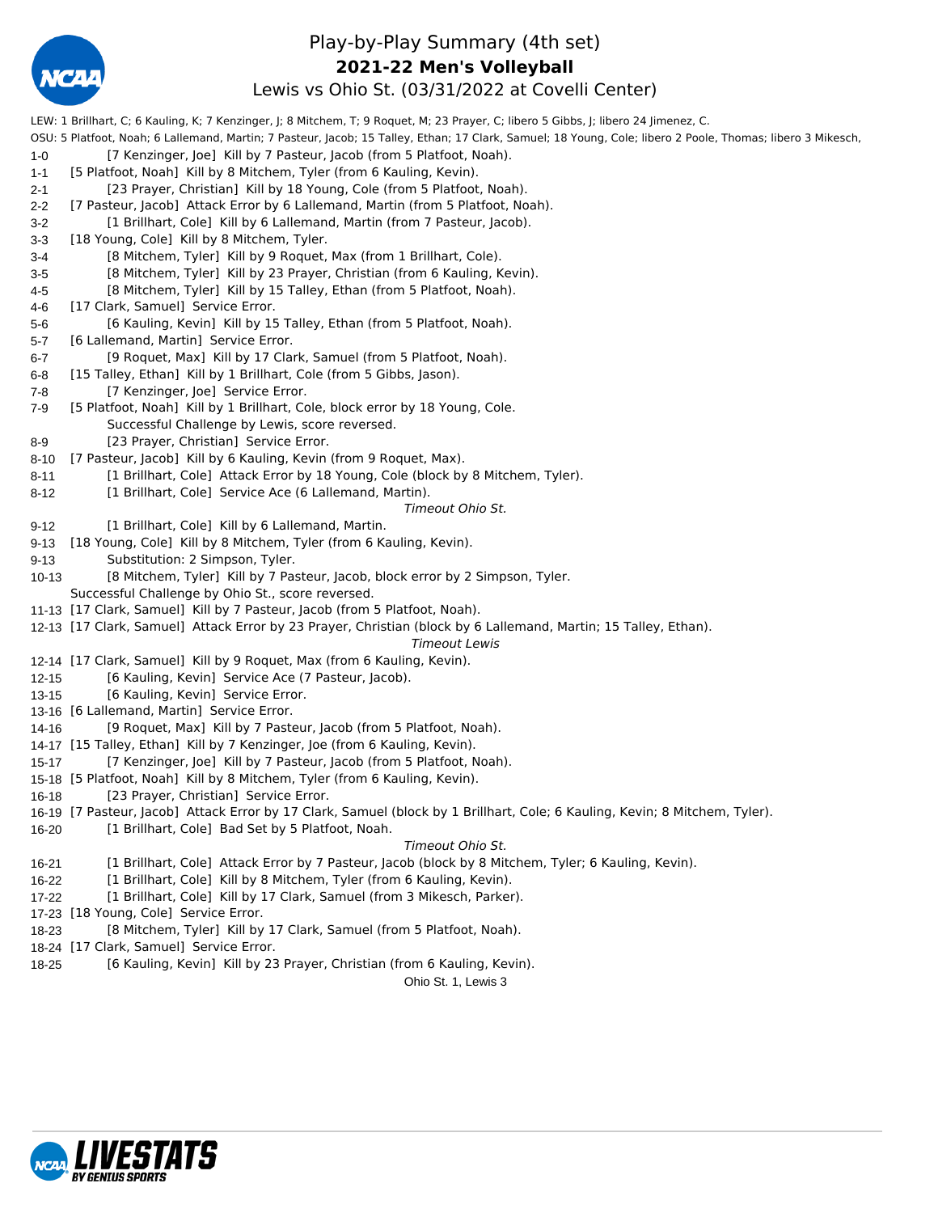

## Play-by-Play Summary (4th set) Lewis vs Ohio St. (03/31/2022 at Covelli Center) **2021-22 Men's Volleyball**

LEW: 1 Brillhart, C; 6 Kauling, K; 7 Kenzinger, J; 8 Mitchem, T; 9 Roquet, M; 23 Prayer, C; libero 5 Gibbs, J; libero 24 Jimenez, C.

OSU: 5 Platfoot, Noah; 6 Lallemand, Martin; 7 Pasteur, Jacob; 15 Talley, Ethan; 17 Clark, Samuel; 18 Young, Cole; libero 2 Poole, Thomas; libero 3 Mikesch, 1-0 [7 Kenzinger, Joe] Kill by 7 Pasteur, Jacob (from 5 Platfoot, Noah).

- 1-1 [5 Platfoot, Noah] Kill by 8 Mitchem, Tyler (from 6 Kauling, Kevin).
- 2-1 [23 Prayer, Christian] Kill by 18 Young, Cole (from 5 Platfoot, Noah).
- 2-2 [7 Pasteur, Jacob] Attack Error by 6 Lallemand, Martin (from 5 Platfoot, Noah).
- 3-2 [1 Brillhart, Cole] Kill by 6 Lallemand, Martin (from 7 Pasteur, Jacob).
- 3-3 [18 Young, Cole] Kill by 8 Mitchem, Tyler.
- 3-4 [8 Mitchem, Tyler] Kill by 9 Roquet, Max (from 1 Brillhart, Cole).
- 3-5 [8 Mitchem, Tyler] Kill by 23 Prayer, Christian (from 6 Kauling, Kevin).
- 4-5 [8 Mitchem, Tyler] Kill by 15 Talley, Ethan (from 5 Platfoot, Noah).
- 4-6 [17 Clark, Samuel] Service Error.
- 5-6 [6 Kauling, Kevin] Kill by 15 Talley, Ethan (from 5 Platfoot, Noah).
- 5-7 [6 Lallemand, Martin] Service Error.
- 6-7 [9 Roquet, Max] Kill by 17 Clark, Samuel (from 5 Platfoot, Noah).
- 6-8 [15 Talley, Ethan] Kill by 1 Brillhart, Cole (from 5 Gibbs, Jason).
- 7-8 [7 Kenzinger, Joe] Service Error.
- 7-9 [5 Platfoot, Noah] Kill by 1 Brillhart, Cole, block error by 18 Young, Cole.
- Successful Challenge by Lewis, score reversed.
- 8-9 [23 Prayer, Christian] Service Error.
- 8-10 [7 Pasteur, Jacob] Kill by 6 Kauling, Kevin (from 9 Roquet, Max).
- 8-11 [1 Brillhart, Cole] Attack Error by 18 Young, Cole (block by 8 Mitchem, Tyler).
- 8-12 [1 Brillhart, Cole] Service Ace (6 Lallemand, Martin).

#### *Timeout Ohio St.*

- 9-12 [1 Brillhart, Cole] Kill by 6 Lallemand, Martin.
- 9-13 [18 Young, Cole] Kill by 8 Mitchem, Tyler (from 6 Kauling, Kevin).
- 9-13 Substitution: 2 Simpson, Tyler.
- 10-13 [8 Mitchem, Tyler] Kill by 7 Pasteur, Jacob, block error by 2 Simpson, Tyler. Successful Challenge by Ohio St., score reversed.
- 11-13 [17 Clark, Samuel] Kill by 7 Pasteur, Jacob (from 5 Platfoot, Noah).
- 12-13 [17 Clark, Samuel] Attack Error by 23 Prayer, Christian (block by 6 Lallemand, Martin; 15 Talley, Ethan).

*Timeout Lewis*

- 12-14 [17 Clark, Samuel] Kill by 9 Roquet, Max (from 6 Kauling, Kevin).
- 12-15 [6 Kauling, Kevin] Service Ace (7 Pasteur, Jacob).
- 13-15 [6 Kauling, Kevin] Service Error.
- 13-16 [6 Lallemand, Martin] Service Error.
- 14-16 [9 Roquet, Max] Kill by 7 Pasteur, Jacob (from 5 Platfoot, Noah).
- 14-17 [15 Talley, Ethan] Kill by 7 Kenzinger, Joe (from 6 Kauling, Kevin).
- 15-17 [7 Kenzinger, Joe] Kill by 7 Pasteur, Jacob (from 5 Platfoot, Noah).
- 15-18 [5 Platfoot, Noah] Kill by 8 Mitchem, Tyler (from 6 Kauling, Kevin).
- 16-18 [23 Prayer, Christian] Service Error.
- 16-19 [7 Pasteur, Jacob] Attack Error by 17 Clark, Samuel (block by 1 Brillhart, Cole; 6 Kauling, Kevin; 8 Mitchem, Tyler).
- 16-20 [1 Brillhart, Cole] Bad Set by 5 Platfoot, Noah.

#### *Timeout Ohio St.*

- 16-21 [1 Brillhart, Cole] Attack Error by 7 Pasteur, Jacob (block by 8 Mitchem, Tyler; 6 Kauling, Kevin).
- 16-22 [1 Brillhart, Cole] Kill by 8 Mitchem, Tyler (from 6 Kauling, Kevin).
- 17-22 [1 Brillhart, Cole] Kill by 17 Clark, Samuel (from 3 Mikesch, Parker).
- 17-23 [18 Young, Cole] Service Error.
- 18-23 [8 Mitchem, Tyler] Kill by 17 Clark, Samuel (from 5 Platfoot, Noah).
- 18-24 [17 Clark, Samuel] Service Error.
- 18-25 [6 Kauling, Kevin] Kill by 23 Prayer, Christian (from 6 Kauling, Kevin).

Ohio St. 1, Lewis 3

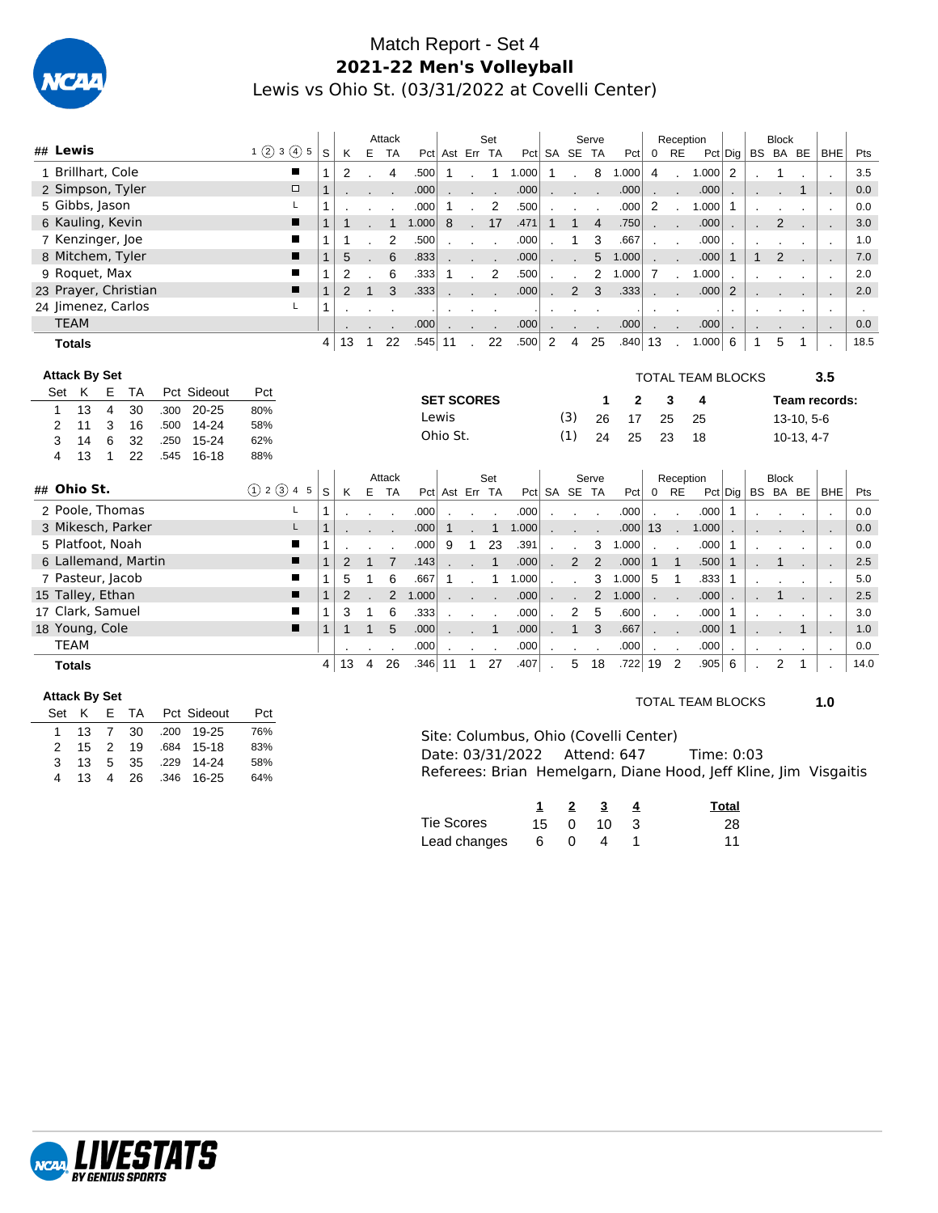

## Match Report - Set 4 **2021-22 Men's Volleyball** Lewis vs Ohio St. (03/31/2022 at Covelli Center)

|             |                      |                |                      |      |             |                 |        |                |                |              | Attack         |           |                   |              | Set            |       |                |                | Serve          |       |                          | Reception            |                          |                 |              | <b>Block</b>   |              |                          |      |
|-------------|----------------------|----------------|----------------------|------|-------------|-----------------|--------|----------------|----------------|--------------|----------------|-----------|-------------------|--------------|----------------|-------|----------------|----------------|----------------|-------|--------------------------|----------------------|--------------------------|-----------------|--------------|----------------|--------------|--------------------------|------|
|             | ## Lewis             |                |                      |      |             | $1$ (2) 3 (4) 5 |        | S              | K              | Е            | <b>TA</b>      |           | Pct Ast Err TA    |              |                |       |                | Pct SA SE TA   |                | Pct   | $0$ RE                   |                      |                          | $Pct  $ Dig $ $ |              | BS BA BE       |              | <b>BHE</b>               | Pts  |
|             | 1 Brillhart, Cole    |                |                      |      |             |                 | п      |                | 2              |              | 4              | .500      | 1                 |              | 1              | 1.000 | $\mathbf{1}$   |                | 8              | 1.000 | $\overline{4}$           |                      | 1.000                    | $\overline{2}$  |              |                |              |                          | 3.5  |
|             |                      |                | 2 Simpson, Tyler     |      |             |                 | $\Box$ |                |                |              |                | .000      |                   |              |                | .000  |                |                |                | .000  |                          |                      | .000                     |                 |              |                |              |                          | 0.0  |
|             | 5 Gibbs, Jason       |                |                      |      |             |                 | L      | 1              |                |              |                | .000      | $\mathbf{1}$      |              | 2              | .500  |                |                |                | .000  | $\overline{2}$           |                      | 1.000                    | $\mathbf{1}$    |              |                |              |                          | 0.0  |
|             | 6 Kauling, Kevin     |                |                      |      |             |                 | п      |                |                |              |                | 1.000     | 8                 |              | 17             | .471  | $\mathbf{1}$   | $\mathbf 1$    | $\overline{4}$ | .750  | $\sim 100$               |                      | .000                     |                 |              | $\overline{2}$ |              |                          | 3.0  |
|             | 7 Kenzinger, Joe     |                |                      |      |             |                 | п      | 1              | 1              |              | $\overline{2}$ | .500      |                   |              |                | .000  |                | 1              | 3              | .667  | $\mathbf{r}$             | $\mathbf{r}$         | .000                     |                 |              |                |              | $\cdot$                  | 1.0  |
|             |                      |                | 8 Mitchem, Tyler     |      |             |                 | ■      | 1              | 5              |              | 6              | .833      |                   |              |                | .000  |                |                | 5              | 1.000 |                          |                      | .000                     | $\mathbf{1}$    | $\mathbf{1}$ | $\mathbf{2}$   |              | $\overline{\phantom{a}}$ | 7.0  |
|             | 9 Roquet, Max        |                |                      |      |             |                 | ш      | 1              | $\overline{2}$ |              | 6              | .333      | -1                |              | $\overline{2}$ | .500  |                |                | 2              | 1.000 | $\overline{7}$           | $\cdot$              | 1.000                    |                 |              |                |              |                          | 2.0  |
|             |                      |                | 23 Prayer, Christian |      |             |                 | п      | $\overline{1}$ | $\overline{2}$ | $\mathbf{1}$ | 3              | .333      |                   |              |                | .000  |                | 2              | 3              | .333  |                          |                      | .000                     | 2               |              |                |              |                          | 2.0  |
|             |                      |                | 24 Jimenez, Carlos   |      |             |                 | L      | 1              |                |              |                |           |                   |              |                |       |                |                |                |       | $\blacksquare$           |                      |                          | $\blacksquare$  |              |                |              | $\cdot$                  |      |
| <b>TEAM</b> |                      |                |                      |      |             |                 |        |                |                |              |                | .000      |                   |              |                | .000  |                |                |                | .000  |                          |                      | .000                     | $\cdot$         |              |                |              | $\blacksquare$           | 0.0  |
|             | <b>Totals</b>        |                |                      |      |             |                 |        | 4              | 13             | 1            | 22             | $.545$ 11 |                   |              | 22             | .500  | $\overline{2}$ | $\overline{4}$ | 25             | .840  | 13                       |                      | 1.000                    | 6               | $\mathbf{1}$ | 5              |              |                          | 18.5 |
|             |                      |                |                      |      |             |                 |        |                |                |              |                |           |                   |              |                |       |                |                |                |       |                          |                      |                          |                 |              |                |              |                          |      |
|             | <b>Attack By Set</b> |                |                      |      |             |                 |        |                |                |              |                |           |                   |              |                |       |                |                |                |       |                          |                      | <b>TOTAL TEAM BLOCKS</b> |                 |              |                |              | 3.5                      |      |
| Set         | K                    | Е              | TA                   |      | Pct Sideout | Pct             |        |                |                |              |                |           | <b>SET SCORES</b> |              |                |       |                |                | 1              | 2     |                          | 3                    | 4                        |                 |              |                |              | Team records:            |      |
| 1           | 13                   | $\overline{4}$ | 30                   | .300 | $20 - 25$   | 80%             |        |                |                |              |                |           | Lewis             |              |                |       |                | (3)            | 26             | 17    | 25                       |                      | 25                       |                 |              |                | $13-10, 5-6$ |                          |      |
| 2           | 11                   | 3              | 16                   | .500 | $14 - 24$   | 58%             |        |                |                |              |                |           | Ohio St.          |              |                |       |                | (1)            | 24             | 25    | 23                       |                      | 18                       |                 |              |                | $10-13, 4-7$ |                          |      |
| 3           | 14                   | 6              | 32                   | .250 | 15-24       | 62%             |        |                |                |              |                |           |                   |              |                |       |                |                |                |       |                          |                      |                          |                 |              |                |              |                          |      |
| 4           | 13                   | 1              | 22                   | .545 | $16 - 18$   | 88%             |        |                |                |              |                |           |                   |              |                |       |                |                |                |       |                          |                      |                          |                 |              |                |              |                          |      |
|             | ## Ohio St.          |                |                      |      |             |                 |        |                |                |              | Attack         |           |                   |              | Set            |       |                |                | Serve          |       |                          | Reception            |                          |                 |              | <b>Block</b>   |              |                          |      |
|             |                      |                |                      |      |             | (1) 2 (3) 4 5   |        | S              | K              | Е            | <b>TA</b>      |           | Pct Ast Err TA    |              |                |       |                | Pct SA SE TA   |                | Pct   |                          | $0$ RE               |                          | $Pct $ Dig $ $  |              | BS BA BE       |              | <b>BHE</b>               | Pts  |
|             |                      |                | 2 Poole, Thomas      |      |             |                 | Г      | 1              |                |              |                | .000      |                   |              |                | .000  |                |                |                | .000  |                          |                      | .000                     | $\mathbf{1}$    |              |                |              | $\mathbf{r}$             | 0.0  |
|             |                      |                | 3 Mikesch, Parker    |      |             |                 | L      |                |                |              |                | .000      | 1                 |              | $\mathbf{1}$   | 1.000 |                |                |                | .000  | 13                       | $\ddot{\phantom{a}}$ | 1.000                    |                 |              |                |              |                          | 0.0  |
|             | 5 Platfoot, Noah     |                |                      |      |             |                 | п      | 1              |                |              |                | .000      | 9                 | 1            | 23             | .391  |                |                | 3              | 1.000 |                          | $\ddot{\phantom{a}}$ | .000                     | 1               |              |                |              | $\cdot$                  | 0.0  |
|             |                      |                | 6 Lallemand, Martin  |      |             |                 | ■      |                | 2              | $\mathbf{1}$ | $\overline{7}$ | .143      |                   |              | $\mathbf{1}$   | .000  |                | $\overline{2}$ | $\overline{2}$ | .000  | $\mathbf{1}$             | $\overline{1}$       | .500                     | $\mathbf{1}$    |              | 1              |              | $\overline{\phantom{a}}$ | 2.5  |
|             | 7 Pasteur, Jacob     |                |                      |      |             |                 | ■      | 1              | 5              | 1            | 6              | .667      | 1                 |              | $\mathbf{1}$   | 1.000 |                |                | 3              | 1.000 | 5                        | $\mathbf 1$          | .833                     | 1               |              |                |              |                          | 5.0  |
|             | 15 Talley, Ethan     |                |                      |      |             |                 | п      | 1              | $\overline{2}$ |              | $\overline{2}$ | 1.000     |                   |              |                | .000  |                |                | $\overline{2}$ | 1.000 | $\mathbf{r}$             |                      | .000                     |                 |              |                |              |                          | 2.5  |
|             | 17 Clark, Samuel     |                |                      |      |             |                 | П      | 1              | 3              | 1            | 6              | .333      |                   |              |                | .000  |                | 2              | 5              | .600  | $\overline{\phantom{a}}$ |                      | .000                     | 1               |              |                |              | $\cdot$                  | 3.0  |
|             | 18 Young, Cole       |                |                      |      |             |                 | п      | 1              |                | $\mathbf{1}$ | 5              | .000      |                   |              | $\mathbf{1}$   | .000  |                | $\mathbf{1}$   | 3              | .667  |                          |                      | .000                     | $\mathbf{1}$    |              |                | 1            |                          | 1.0  |
| <b>TEAM</b> |                      |                |                      |      |             |                 |        |                |                |              |                | .000      |                   |              |                | .000  |                |                |                | .000  | $\cdot$                  | $\sim$               | .000                     | $\blacksquare$  |              |                |              | $\bullet$                | 0.0  |
|             | <b>Totals</b>        |                |                      |      |             |                 |        | 4              | 13             | 4            | 26             | .346 11   |                   | $\mathbf{1}$ | 27             | .407  |                | 5              | 18             | .722  | 19                       | $\overline{c}$       | .905                     | 6               |              | 2              | 1            |                          | 14.0 |

#### **Attack By Set**

| Set K |    |  | E TA Pct Sideout     | Pct |
|-------|----|--|----------------------|-----|
|       |    |  | 1 13 7 30 .200 19-25 | 76% |
|       |    |  | 2 15 2 19 684 15-18  | 83% |
| 3     |    |  | 13 5 35 .229 14-24   | 58% |
| 4     | 13 |  | 4 26 .346 16-25      | 64% |

#### TOTAL TEAM BLOCKS **1.0**

| Site: Columbus. Ohio (Covelli Center)                            |  |  |
|------------------------------------------------------------------|--|--|
|                                                                  |  |  |
| Referees: Brian Hemelgarn, Diane Hood, Jeff Kline, Jim Visgaitis |  |  |

|              |    | $\overline{\mathbf{2}}$ | 3                    | Total |
|--------------|----|-------------------------|----------------------|-------|
| Tie Scores   |    |                         | $15 \t 0 \t 10 \t 3$ | 28    |
| Lead changes | 60 |                         | 4                    | 11    |

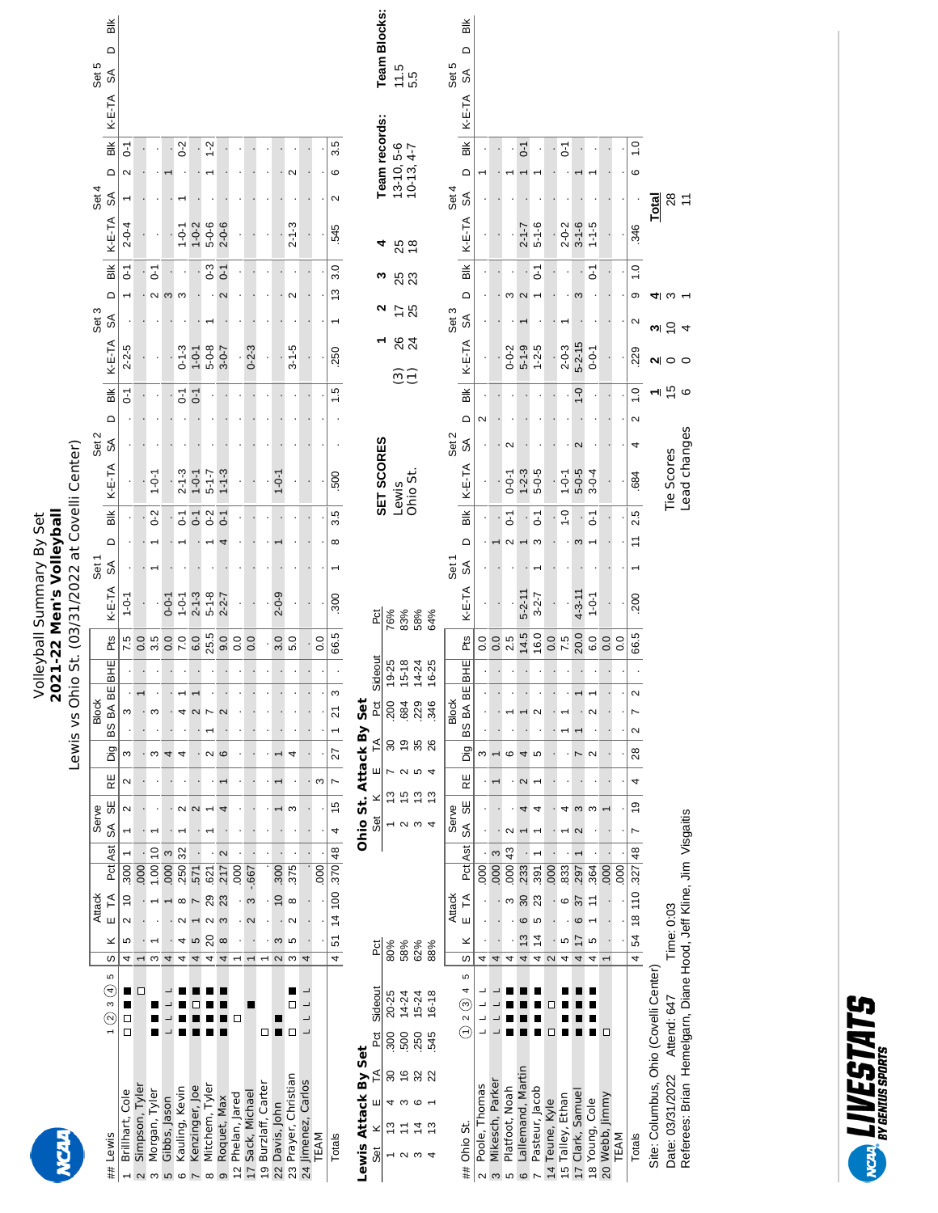|                                                                  |                                       |                          |                                   |                                  |                          |                             |                |                          |     |            |                | Volleyball Summary By Set<br>2021-22 Men's Volleyball |                                                           |                   |                                      |                        |                   |                      |                                     |                          |                |             |                      |                              |        |                                    |                 |
|------------------------------------------------------------------|---------------------------------------|--------------------------|-----------------------------------|----------------------------------|--------------------------|-----------------------------|----------------|--------------------------|-----|------------|----------------|-------------------------------------------------------|-----------------------------------------------------------|-------------------|--------------------------------------|------------------------|-------------------|----------------------|-------------------------------------|--------------------------|----------------|-------------|----------------------|------------------------------|--------|------------------------------------|-----------------|
|                                                                  |                                       |                          |                                   |                                  |                          |                             |                | Lewis vs Ohi             |     |            |                |                                                       |                                                           |                   | o St. (03/31/2022 at Covelli Center) |                        |                   |                      |                                     |                          |                |             |                      |                              |        |                                    |                 |
| Lewis<br>##                                                      | 5<br>$\bigodot$<br>S<br>$\odot$       | ×<br>w                   | <b>Attack</b><br>$\tilde{H}$<br>Ш | Ast<br>Pct                       | Serve<br>SÃ              | RE<br>55                    | big            | BS BA BE<br><b>Block</b> |     | <b>BHE</b> | Pts            | K-E-TA                                                | $\Omega$<br>Set <sub>1</sub><br>$\mathbb{S}^{\mathbb{A}}$ | Bik               | K-E-TA                               | Set 2<br>$\mathbb S$   | $\Box$            | $\frac{1}{2}$        | K-E-TA                              | $\Omega$<br>Set 3<br>SÁ  | Вlk            | K-E-TA      | ≏<br>Set 4<br>S      | $\frac{1}{2}$                | K-E-TA | Set 5<br>$\mathbb{S}^{\mathbb{A}}$ | Bik<br>Δ        |
| Brillhart, Cole                                                  | ш<br>Д<br>$\Box$                      | 5<br>4                   | $\frac{1}{2}$<br>$\sim$           | $\overline{300}$                 |                          | $\mathbf{\Omega}$<br>$\sim$ | ω              | ო                        |     |            | 7.5            | $1 - 0 - 1$                                           |                                                           |                   |                                      |                        |                   | $\overline{0}$       | $2 - 2 - 5$                         |                          | $\overline{c}$ | $2 - 0 - 4$ | N                    | $\overline{c}$               |        |                                    |                 |
| Simpson, Tyler<br>$\sim$                                         | □                                     |                          |                                   | 000                              |                          |                             |                |                          |     |            | 0.0            |                                                       |                                                           |                   |                                      |                        |                   |                      |                                     |                          |                |             |                      |                              |        |                                    |                 |
| Morgan, Tyler<br>S                                               |                                       | S                        |                                   | $\overline{c}$<br>1.00           |                          |                             | S              | ω                        |     |            | 3.5            |                                                       |                                                           | $0-2$             | $1 - 0 - 1$                          |                        |                   |                      |                                     | $\sim$ $\sim$            | $\overline{c}$ |             |                      |                              |        |                                    |                 |
| Gibbs, Jason<br>S                                                |                                       | 4                        |                                   | S<br>$ 000\rangle$               |                          |                             | $\overline{ }$ |                          |     |            | 0.0            | $0 - 0 - 1$                                           |                                                           |                   |                                      |                        |                   |                      |                                     |                          |                |             |                      |                              |        |                                    |                 |
| Kauling, Kevin<br>$\circ$                                        |                                       | 4<br>4                   | $\infty$<br>$\mathbf{\sim}$       | 32<br>250                        |                          | $\sim$                      |                | 4                        |     |            | 7.0            | $1 - 0 - 1$                                           |                                                           | $\overline{c}$    | $2 - 1 - 3$                          |                        |                   | $\overline{C}$       | $0 - 1 - 3$                         | S                        |                | $1 - 0 - 1$ |                      | $0-2$                        |        |                                    |                 |
| Kenzinger, Joe                                                   |                                       | 5<br>4                   | $\overline{ }$                    | 571                              |                          | $\mathbf{\Omega}$           |                | $\mathbf{\Omega}$        |     |            | 6.0            | $2 - 1 - 3$                                           |                                                           | $\overline{0}$    | $1 - 0 - 1$                          |                        |                   | $\overline{0}$ -1    | $1 - 0 - 1$                         |                          |                | $1 - 0 - 2$ |                      |                              |        |                                    |                 |
| Mitchem, Tyler<br>$\infty$                                       |                                       | $\overline{20}$<br>4     | 29<br>$\sim$                      | 621                              |                          |                             | $\sim$         |                          |     |            | 25.5           | $5 - 1 - 8$                                           |                                                           | $0-2$             | $5 - 1 - 7$                          |                        |                   |                      | $5 - 0 - 8$                         |                          | $0 - 3$        | $5 - 0 - 6$ |                      | $1 - 2$                      |        |                                    |                 |
| Roquet, Max<br>ၜ                                                 |                                       | $\infty$<br>4            | 23<br>S                           | $\mathbf{\Omega}$<br>217         |                          |                             | $\circ$        |                          |     |            | 9.0            | $2 - 2 - 7$                                           |                                                           | $\overline{0}$ -1 | $1 - 1 - 3$                          |                        |                   |                      | $-0-5$                              | $\mathbf{\Omega}$        | $\overline{0}$ | $2 - 0 - 6$ |                      |                              |        |                                    |                 |
| Phelan, Jared<br>$\tilde{c}$                                     |                                       | $\overline{ }$           |                                   | 000                              |                          |                             |                |                          |     |            | 0.0            |                                                       |                                                           |                   |                                      |                        |                   |                      |                                     |                          |                |             |                      |                              |        |                                    |                 |
| Sack, Michael<br>$\overline{1}$                                  |                                       | $\overline{\phantom{0}}$ | S<br>$\sim$                       | $-0.667$                         |                          |                             |                |                          |     |            | 0.0            |                                                       |                                                           |                   |                                      |                        |                   |                      | $0 - 2 - 3$                         |                          |                |             |                      |                              |        |                                    |                 |
| Burzlaff, Carter<br>é,                                           |                                       |                          |                                   |                                  |                          |                             |                |                          |     |            |                |                                                       |                                                           |                   |                                      |                        |                   |                      |                                     |                          |                |             |                      |                              |        |                                    |                 |
| Davis, John<br>22                                                | □■□                                   | S                        | $\overline{0}$                    | 006                              |                          |                             |                |                          |     |            |                | $2 - 0 - 9$                                           |                                                           |                   | $1 - 0 - 1$                          |                        |                   |                      |                                     |                          |                |             |                      |                              |        |                                    |                 |
| Prayer, Christian<br>23                                          | ■<br>◻                                | S<br>$\sim$ $\sim$       | $\infty$<br>$\sim$                | 375                              |                          | ო                           | 4              |                          |     |            | 3.0<br>5.0     |                                                       |                                                           |                   |                                      |                        |                   |                      | $3 - 1 - 5$                         | $\sim$                   |                | $2 - 1 - 3$ |                      |                              |        |                                    |                 |
| Jimenez, Carlos<br>24                                            | $\overline{\phantom{a}}$              | 4                        |                                   |                                  |                          |                             |                |                          |     |            |                |                                                       |                                                           |                   |                                      |                        |                   |                      |                                     |                          |                |             |                      |                              |        |                                    |                 |
| TEAM                                                             |                                       |                          |                                   | 000                              |                          | S                           |                |                          |     |            | $\overline{0}$ |                                                       |                                                           |                   |                                      |                        |                   |                      |                                     |                          |                |             |                      |                              |        |                                    |                 |
|                                                                  |                                       |                          |                                   |                                  |                          |                             |                |                          |     |            |                |                                                       |                                                           |                   |                                      |                        |                   |                      |                                     |                          |                |             |                      |                              |        |                                    |                 |
| Totals                                                           |                                       | 5<br>4                   | 100<br>$\frac{4}{4}$              | .370 48                          | 4                        | $\overline{ }$<br>15        | 27             | $\overline{2}$           | S   |            | 66.5           | .300                                                  | $\infty$                                                  | 3.5               | 500                                  |                        |                   | 1.5                  | 250                                 | 13                       | 3.0            | 545         | ဖ<br>$\sim$          | 3.5                          |        |                                    |                 |
| Lewis Attack By Set                                              |                                       |                          |                                   |                                  |                          | Ohio St. Attack By Set      |                |                          |     |            |                |                                                       |                                                           |                   |                                      |                        |                   |                      |                                     |                          |                |             |                      |                              |        |                                    |                 |
| F<br>ш<br>×<br>Šē                                                | Sideout<br>Pct                        | <b>Pct</b>               |                                   |                                  | Set                      | ×                           | ш              | Ě                        | Pct | Sideout    | Pct            |                                                       |                                                           |                   | SET SCORES                           |                        |                   |                      |                                     | ∾                        | ო              | 4           |                      | Team records:                |        |                                    | Team Blocks:    |
| $\rm ^{8}$<br>4<br>$\frac{3}{2}$                                 | 20-25<br>300                          | 80%                      |                                   |                                  | $\overline{\phantom{0}}$ | $\frac{3}{2}$               |                | <b>200</b><br>$\rm 8$    |     | 19-25      | 76%            |                                                       |                                                           |                   |                                      |                        |                   |                      |                                     |                          |                |             |                      |                              |        |                                    |                 |
| $\frac{6}{5}$<br>ო<br>Ξ<br>$\sim$                                | $14 - 24$<br>500                      | 58%                      |                                   |                                  | $\sim$ $\sim$ $\sim$     | 15                          | $\sim$         | 684<br>6Ļ                |     | $15 - 18$  | 83%            |                                                       |                                                           |                   | Lewis                                |                        |                   | $\widetilde{\omega}$ | 84                                  | 75                       | 88             | 25          |                      | $13-10, 5-6$<br>$10-13, 4-7$ |        | 11.5                               |                 |
| 32<br>ဖ<br>$\ddot{4}$<br>S                                       | 15-24<br>250                          | 62%                      |                                   |                                  |                          | $\frac{3}{2}$               | S              | .229<br>35               |     | $14 - 24$  | 58%            |                                                       |                                                           |                   | Ohio St.                             |                        |                   |                      |                                     |                          |                |             |                      |                              |        | 5.5                                |                 |
| $\frac{3}{2}$<br>↴                                               | $16 - 18$<br>545                      | 88%                      |                                   |                                  |                          | $\frac{3}{2}$               |                | .346<br>26               |     | 16-25      | 64%            |                                                       |                                                           |                   |                                      |                        |                   |                      |                                     |                          |                |             |                      |                              |        |                                    |                 |
|                                                                  |                                       |                          | <b>Attack</b>                     |                                  | Serve                    |                             |                | <b>Block</b>             |     |            |                |                                                       | Set <sub>1</sub>                                          |                   |                                      | Set <sub>2</sub>       |                   |                      |                                     | Set 3                    |                |             | Set 4                |                              |        | Set 5                              |                 |
| Ohio St.<br>##                                                   | ပ<br>4<br>ⓒ<br>$\mathbf{\Omega}$<br>E | ×<br>S                   | $\widetilde{\mathsf{L}}$<br>Ш     | Ast<br>$\overline{c}$            | SÁ                       | RE<br>59                    | Dig            | BS BA BE                 |     | BHE        | Pts            | K-E-TA                                                | ≏<br>$\mathbb{S}^{\mathbb{A}}$                            | ВĶ                | K-E-TA                               | $\mathcal{L}_{\infty}$ | $\Omega$          | $\frac{1}{100}$      | K-E-TA                              | $\Omega$<br>SÁ           | $\frac{1}{2}$  | $K-E-TA$    | $\Omega$<br>$\delta$ | $\frac{1}{2}$                | K-E-TA | $\mathbb S$                        | Bik<br>$\Omega$ |
| Poole, Thomas<br>$\sim$                                          |                                       | 4                        |                                   | 800                              |                          |                             | ო              |                          |     |            | 0.0            |                                                       |                                                           |                   |                                      |                        | $\mathbf{\Omega}$ |                      |                                     |                          |                |             |                      |                              |        |                                    |                 |
| Mikesch, Parker<br>$\mathfrak{S}$                                |                                       | 4                        |                                   | $\boldsymbol{\varsigma}$<br> 000 |                          |                             |                |                          |     |            | $0.0$<br>2.5   |                                                       |                                                           | $\cdot$           |                                      |                        |                   |                      |                                     |                          |                |             |                      |                              |        |                                    |                 |
| Platfoot, Noah<br>LO                                             |                                       | 4                        | S                                 | 43<br> 000                       |                          |                             | ဖ              |                          |     |            |                |                                                       | $\mathbf{\Omega}$                                         | $\overline{c}$    | $0 - 0 - 1$                          | Ν                      |                   |                      | $0 - 0 - 2$                         | S                        |                |             |                      |                              |        |                                    |                 |
| Lallemand, Martin<br>$\mathbf \omega$                            |                                       | 13<br>4                  | 30<br>ဖ                           | 233                              |                          | 2                           | 4              |                          |     |            | 14.5           | $5 - 2 - 11$                                          |                                                           | $\cdot$           | $1 - 2 - 3$                          |                        |                   |                      | $5 - 1 - 9$                         | $\boldsymbol{\sim}$      |                | $2 - 1 - 7$ |                      | $\overline{d}$               |        |                                    |                 |
| Pasteur, Jacob                                                   |                                       | $\overline{4}$<br>4      | 23<br>မာ                          | 391                              |                          | 4                           | ပ              |                          |     |            | 16.0           | $3 - 2 - 7$                                           | S                                                         | $\overline{C}$    | $5 - 0 - 5$                          |                        |                   |                      | $1 - 2 - 5$                         | $\overline{\phantom{0}}$ | $\overline{C}$ | $5 - 1 - 6$ |                      |                              |        |                                    |                 |
| Teune, Kyle<br>$\overline{4}$                                    | п                                     | $\sim$                   |                                   | 000                              |                          |                             |                |                          |     |            | 0.0            |                                                       |                                                           |                   |                                      |                        |                   |                      |                                     |                          |                |             |                      |                              |        |                                    |                 |
| Talley, Ethan<br>15                                              |                                       | Ю<br>4                   | 6                                 | 833                              |                          | 4                           |                |                          |     |            | 7.5            |                                                       |                                                           | $-1$              | $1 - 0 - 1$                          |                        |                   |                      | $2 - 0 - 3$                         |                          |                | $2 - 0 - 2$ |                      | $\overline{C}$               |        |                                    |                 |
| 17 Clark, Samuel                                                 |                                       | 17<br>4                  | 55<br>ဖ                           | 297                              | $\mathbf{\Omega}$        | S                           |                |                          |     |            | 20.0           | $4 - 3 - 11$                                          | S                                                         |                   | $5 - 0 - 5$                          |                        |                   | $0 - 1$              | $5 - 2 - 15$                        | ς                        |                | $3 - 1 - 6$ |                      |                              |        |                                    |                 |
| 18 Young, Cole                                                   |                                       | 5<br>4                   | Ξ                                 | 364                              |                          | S                           | $\sim$         |                          |     |            | 6.0            | $1 - 0 - 1$                                           |                                                           | $\overline{0}$    | $3 - 0 - 4$                          |                        |                   |                      | $0 - 0 - 1$                         |                          | $\overline{c}$ | $1 - 5$     |                      |                              |        |                                    |                 |
| 20 Webb, Jimmy                                                   | П                                     | $\overline{\phantom{0}}$ |                                   | $ 000\rangle$                    |                          |                             |                |                          |     |            | 0.0            |                                                       |                                                           |                   |                                      |                        |                   |                      |                                     |                          |                |             |                      |                              |        |                                    |                 |
| TEAM                                                             |                                       |                          |                                   | 000                              |                          |                             |                |                          |     |            | 0.0            |                                                       |                                                           |                   |                                      |                        |                   |                      |                                     |                          |                |             |                      |                              |        |                                    |                 |
| Totals                                                           |                                       | 54<br>4                  | 18 110                            | $\frac{48}{5}$<br>.327           | L                        | 4<br>e,                     | 28             | $\mathbf{\Omega}$        | 2   |            | 66.5           | 200                                                   | $\tilde{ }$<br>$\overline{\phantom{0}}$                   | 2.5               | .684                                 | 4                      | $\sim$            | $\overline{1}$ .0    | 229                                 | ၜ<br>2                   | $\frac{0}{1}$  | 346         | ဖ                    | 1.0                          |        |                                    |                 |
| Site: Columbus, Ohio (Covelli Center)                            |                                       |                          |                                   |                                  |                          |                             |                |                          |     |            |                |                                                       |                                                           |                   |                                      |                        |                   |                      | ω<br>ี่                             | 41                       |                |             | <b>Total</b>         |                              |        |                                    |                 |
| Date: 03/31/2022                                                 | Attend: 647                           | Time: 0:03               |                                   |                                  |                          |                             |                |                          |     |            |                |                                                       |                                                           |                   | Tie Scores                           |                        |                   |                      | $\frac{1}{2}$                       | ო –                      |                |             |                      |                              |        |                                    |                 |
| Referees: Brian Hemelgarn, Diane Hood, Jeff Kline, Jim Visgaitis |                                       |                          |                                   |                                  |                          |                             |                |                          |     |            |                |                                                       |                                                           |                   | Lead changes                         |                        |                   | $\frac{a}{2}$        | $\overline{\mathcal{A}}$<br>$\circ$ |                          |                |             | 28                   |                              |        |                                    |                 |

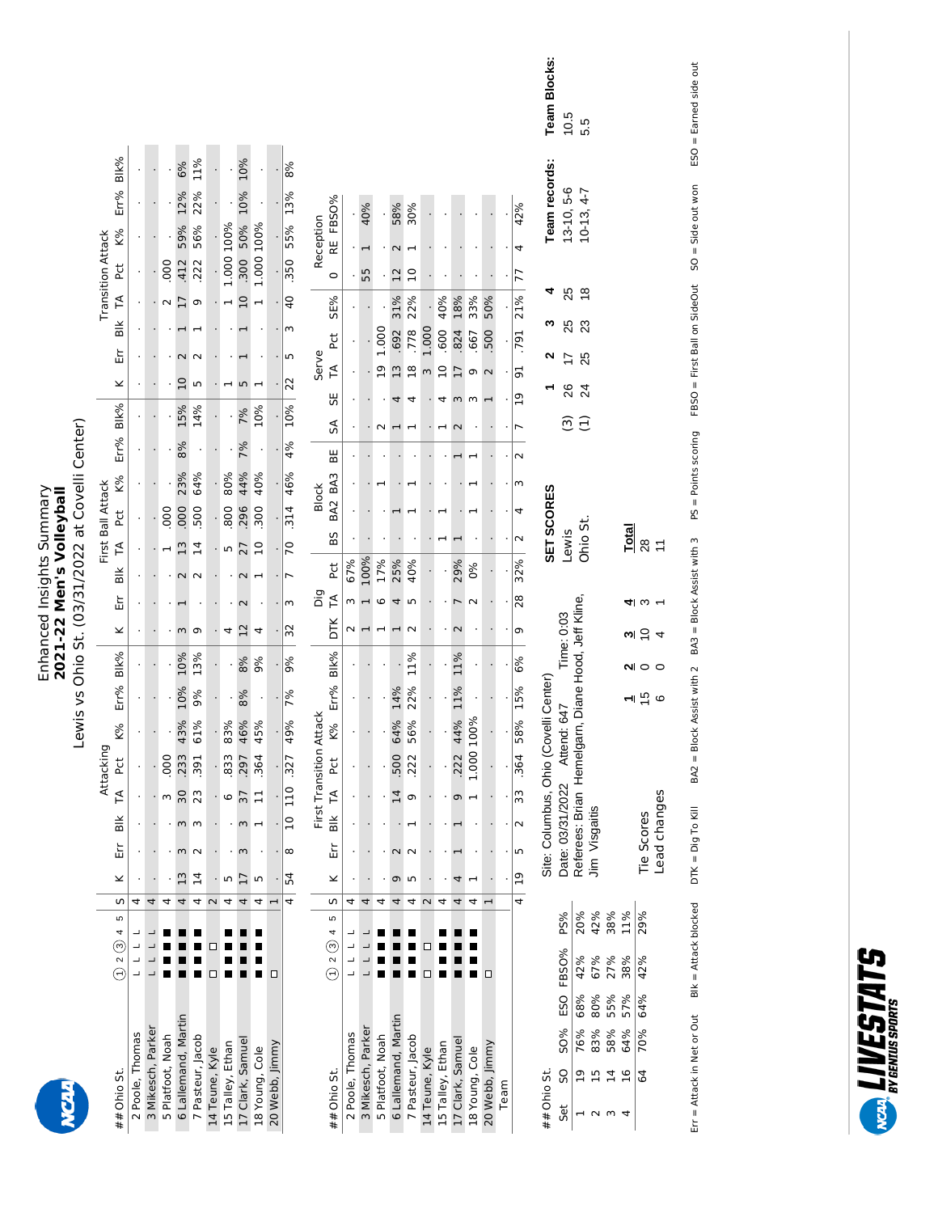## Enhanced Insights Summary<br>2021-22 Men's Volleyball Enhanced Insights Summary **2021-22 Men's Volleyball**

| l<br>(                                               |
|------------------------------------------------------|
| ;<br>)<br>Ç<br>$\frac{1}{\epsilon}$<br>$\frac{1}{2}$ |
| רמפופט<br> <br> <br>)<br>)<br>l                      |
| .<br>;                                               |
| $\frac{1}{2}$                                        |

|                     |                                          |                |               |          |                |            | Attacking     |                         |      |           |                 |        |        | First Ball Attack |               |     |      |          |                          |    |        | <b>Transition Attack</b>           |            |      |      |
|---------------------|------------------------------------------|----------------|---------------|----------|----------------|------------|---------------|-------------------------|------|-----------|-----------------|--------|--------|-------------------|---------------|-----|------|----------|--------------------------|----|--------|------------------------------------|------------|------|------|
| ## Ohio St.         | $(1)$ 2 (3) 4 5   5                      |                | ×             |          | Err Blk TA Pct |            |               | K%                      | Err% | Blk%      | ×               | Εr     | BIK TA |                   | Pct           | K%  | Err% | Blk%     | $\overline{\phantom{0}}$ | Εr | Blk TA | Pct                                | <b>K%</b>  | Err% | Blk% |
| 2 Poole, Thomas     |                                          |                |               |          |                |            |               |                         |      |           |                 |        |        |                   |               |     |      |          |                          |    |        |                                    |            |      |      |
| 3 Mikesch, Parker   |                                          | 4              |               |          |                |            |               |                         |      |           |                 |        |        |                   |               |     |      |          |                          |    |        |                                    |            |      |      |
| 5 Platfoot, Noah    |                                          |                |               |          |                |            |               |                         |      |           |                 |        |        |                   | 000           |     |      |          |                          |    |        | .000                               |            |      |      |
| 6 Lallemand, Martin |                                          | 4              | $\frac{1}{2}$ | m        | ω              | 30         | 233           | 43%                     | 10%  | 10%       |                 |        |        | $\frac{3}{2}$     | 000           | 23% | 8%   | 15%      | $\overline{C}$           |    |        | 412                                | 59%        | 12%  | 6%   |
| 7 Pasteur, Jacob    |                                          | 4              | $\vec{A}$     |          |                | 23         | 39            | 61%                     | 9%   | 13%       | თ               |        |        | $\vec{4}$         | 500           | 64% |      | 14%      | 5                        |    |        | 222                                | 56%        | 22%  | 11%  |
| 14 Teune, Kyle      | $\Box$<br>◻                              |                |               |          |                |            |               |                         |      |           |                 |        |        |                   |               |     |      |          |                          |    |        |                                    |            |      |      |
| 15 Talley, Ethan    |                                          |                | ư             |          |                | 6          | 833           | 83%                     |      |           |                 |        |        | 5                 | 800           | 80% |      |          |                          |    |        |                                    | 1.000 100% |      |      |
| 17 Clark, Samuel    |                                          | 4              | 17            | 3        | 3              | 37         | $\frac{5}{2}$ | 46%                     | 8%   | 8%        | $\overline{12}$ |        |        | 27                | 296           | 44% | 7%   | 7%       | Ю                        |    |        | 300 <sub>5</sub><br>$\overline{a}$ | 50%        | 10%  | 10%  |
| 18 Young, Cole      |                                          | 4              | m             |          |                |            | ق             | 45%                     |      | 9%        |                 |        |        |                   | $\frac{8}{3}$ | 40% |      | 10%      |                          |    |        |                                    | 1.000 100% |      |      |
| 20 Webb, Jimmy      | □                                        |                |               |          |                |            |               |                         |      |           |                 |        |        |                   |               |     |      |          |                          |    |        |                                    |            |      |      |
|                     |                                          |                | 4 54          | $\infty$ |                | 10 110 327 |               | 49%                     | 7%   | 9%        | $\approx$       | m      |        | $\overline{C}$    | 314 46%       |     | 4%   | 10%      | 22                       | LN | m      | $\overline{a}$                     | .350 55%   | 13%  | 8%   |
|                     |                                          |                |               |          |                |            |               | First Transition Attack |      |           |                 | ÖÖ     |        |                   | <b>Block</b>  |     |      |          | Serve                    |    |        |                                    | Reception  |      |      |
| ## Ohio St.         | $(1)$ 2 $(3)$ 4 5                        | $\overline{a}$ | ×             | Εr       |                | Blk TA Pct |               | K%                      |      | Err% Blk% | DTK             | ⊺<br>T | 24     | <b>BS</b>         | BA2 BA3       |     | ₩.   | 55<br>SA | ∫<br>T                   | č  | SE%    | $\circ$                            | RE FBSO%   |      |      |
| 2 Poole. Thomas     | $\begin{array}{c} \n\hline\n\end{array}$ |                |               |          |                |            |               |                         |      |           |                 |        | 67%    |                   |               |     |      |          |                          |    |        |                                    |            |      |      |

|                     |                  |   |                          |    |        |                |                      | First Transition Attack |         |           |            | Dig            |      |        | <b>Block</b> |                         |    |                | Serve         |                |     |                | Reception     |                   |
|---------------------|------------------|---|--------------------------|----|--------|----------------|----------------------|-------------------------|---------|-----------|------------|----------------|------|--------|--------------|-------------------------|----|----------------|---------------|----------------|-----|----------------|---------------|-------------------|
| ## Ohio St.         | 0.2045           |   | $\overline{\phantom{a}}$ |    |        |                | Err Blk TA Pct       | K%                      |         | Err% Blk% | <b>DTK</b> | $\overline{1}$ | Pct  | 8S     | BA2 BA3      | BE                      | SÁ | 55             | TA            | Pct            | SE% | $\circ$        | RE FBSO%      |                   |
| 2 Poole, Thomas     |                  |   |                          |    |        |                |                      |                         |         |           |            |                | 67%  |        |              |                         |    |                |               |                |     |                |               |                   |
| 3 Mikesch, Parker   |                  |   |                          |    |        |                |                      |                         |         |           |            |                | 100% |        |              |                         |    |                |               |                |     | 55             | 40%           |                   |
| 5 Platfoot, Noah    |                  |   |                          |    |        |                |                      |                         |         |           |            |                | 17%  |        |              |                         |    |                | മ             | 1.000          |     |                |               |                   |
| 6 Lallemand, Martin |                  |   |                          |    |        | $\overline{4}$ | <b>500</b>           | 64%                     | 14%     |           |            |                | 25%  |        |              |                         |    |                | $\mathbf{r}$  | .692           | 31% | $\overline{C}$ | 58%           |                   |
| 7 Pasteur, Jacob    |                  |   |                          |    |        |                | 222                  | 56%                     | 22%     | 11%       |            |                | 40%  |        |              |                         |    |                | $\frac{8}{1}$ | 778            | 22% | $\overline{a}$ | 30%           |                   |
| 14 Teune, Kyle      | $\Box$<br>$\Box$ |   |                          |    |        |                |                      |                         |         |           |            |                |      |        |              |                         |    |                |               | 1.000          |     |                |               |                   |
| 15 Talley, Ethan    |                  |   |                          |    |        |                |                      |                         |         |           |            |                |      |        |              |                         |    |                | $\supseteq$   | $\frac{60}{1}$ | 40% |                |               |                   |
| 17 Clark, Samuel    |                  | 4 |                          |    |        |                | 9 222                | 44%                     | 11%     | 11%       |            |                | 29%  |        |              |                         |    |                |               | 824            | 18% |                |               |                   |
| 18 Young, Cole      |                  |   |                          |    |        |                | 1.000                | 100%                    |         |           |            |                | ೦%   |        |              |                         |    |                |               | .667           | 33% |                |               |                   |
| 20 Webb, Jimmy      | ◻                |   |                          |    |        |                |                      |                         |         |           |            |                |      |        |              |                         |    |                |               | 500            | 50% |                |               |                   |
| Team                |                  |   |                          |    |        |                |                      |                         |         |           |            |                |      |        |              |                         |    |                |               |                |     |                |               |                   |
|                     |                  |   | $4 \mid 19$              | Ľņ | $\sim$ | 33             | 364                  |                         | 58% 15% | 6%        | $\circ$    | $\frac{8}{2}$  | 32%  | $\sim$ |              | $\overline{\mathsf{C}}$ |    | $\overline{a}$ | 5             | 791 21%        |     | 77             | 42%           |                   |
| ## Ohio St.         |                  |   |                          |    |        |                | Site: Columbus, Ohio | Covelli Center          |         |           |            |                |      |        | SET SCORES   |                         |    |                |               |                |     |                | Team records: | <b>Team Block</b> |

| Team Blocks:<br>eam records:<br>$1 \quad 2 \quad 3$ | 10.5<br>25<br>25<br>$\overline{1}$        | 5.5<br>$13-10, 5-6$<br>$10-13, 4-7$<br>$\frac{8}{3}$<br><b>23</b><br>25 |                       |                       |                                                                 |                   |              |
|-----------------------------------------------------|-------------------------------------------|-------------------------------------------------------------------------|-----------------------|-----------------------|-----------------------------------------------------------------|-------------------|--------------|
|                                                     | 26                                        | $\overline{24}$                                                         |                       |                       |                                                                 |                   |              |
|                                                     |                                           | ີ<br>ອີ ວີ                                                              |                       |                       |                                                                 |                   |              |
| <b>SET SCORES</b>                                   | ewis                                      | Jhio St.                                                                |                       |                       |                                                                 | $\frac{rad}{28}$  |              |
|                                                     |                                           |                                                                         |                       |                       |                                                                 |                   |              |
|                                                     | 547 Time: 0:03<br>Diane Hood, Jeff Kline, |                                                                         |                       |                       |                                                                 | $\frac{1}{2}$     |              |
|                                                     |                                           |                                                                         |                       |                       |                                                                 |                   |              |
| Center <sup>1</sup>                                 |                                           |                                                                         |                       |                       |                                                                 |                   |              |
| Site: Columbus, Ohio (Covelli                       | Date: 03/31/2022 Attend: 6-               | Referees: Brian Hemelgarn, I                                            | Jim Visgaitis         |                       |                                                                 | <b>Tie Scores</b> | Lead changes |
|                                                     |                                           |                                                                         |                       |                       |                                                                 |                   |              |
|                                                     |                                           |                                                                         |                       |                       |                                                                 |                   |              |
|                                                     |                                           |                                                                         |                       |                       |                                                                 |                   |              |
|                                                     |                                           |                                                                         |                       |                       |                                                                 |                   |              |
|                                                     |                                           |                                                                         |                       |                       |                                                                 |                   |              |
| ## Ohio St.                                         | $\frac{80%}{1}$<br>Set SO                 | $1 \t19$                                                                | 76%<br>83%<br>2<br>15 | 58%<br>$\frac{14}{1}$ | $\frac{16}{64} \quad \frac{64\%}{70\%} \quad \frac{57\%}{64\%}$ |                   |              |

BA2 = Block Assist with 2 BA3 = Block Assist with 3 PS = Points scoring FBSO = First Ball on SideOut SO = Side out won ESO = Earned side out SO = Side out won ESO = Earned side out FBSO = First Ball on SideOut PS = Points scoring Blk = Attack blocked  $\quad$  DTK = Dig To Kill  $\quad$  BA2 = Block Assist with 2  $\quad$  BA3 = Block Assist with 3  $B$ lk = Attack blocked  $DTK =$  Dig To Kill Err = Attack in Net or Out  $\qquad$  Blk = Attack blocked  $\qquad$  DTK = Dig To Kill Err = Attack in Net or Out